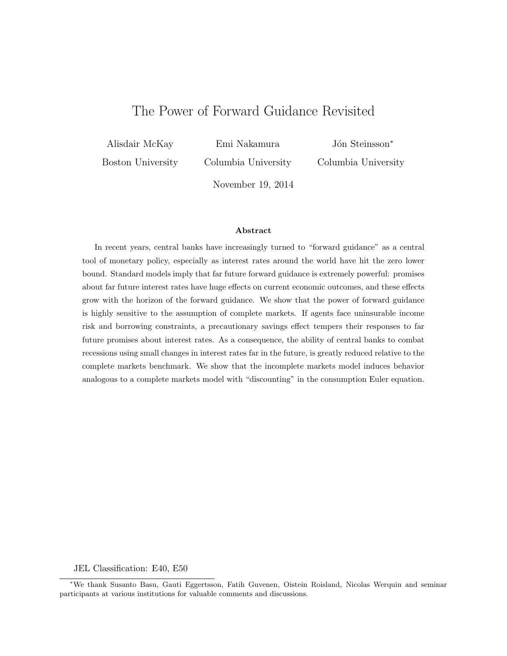# The Power of Forward Guidance Revisited

Alisdair McKay

Emi Nakamura

Boston University

Columbia University

Jón Steinsson<sup>∗</sup> Columbia University

November 19, 2014

#### Abstract

In recent years, central banks have increasingly turned to "forward guidance" as a central tool of monetary policy, especially as interest rates around the world have hit the zero lower bound. Standard models imply that far future forward guidance is extremely powerful: promises about far future interest rates have huge effects on current economic outcomes, and these effects grow with the horizon of the forward guidance. We show that the power of forward guidance is highly sensitive to the assumption of complete markets. If agents face uninsurable income risk and borrowing constraints, a precautionary savings effect tempers their responses to far future promises about interest rates. As a consequence, the ability of central banks to combat recessions using small changes in interest rates far in the future, is greatly reduced relative to the complete markets benchmark. We show that the incomplete markets model induces behavior analogous to a complete markets model with "discounting" in the consumption Euler equation.

#### JEL Classification: E40, E50

<sup>∗</sup>We thank Susanto Basu, Gauti Eggertsson, Fatih Guvenen, Oistein Roisland, Nicolas Werquin and seminar participants at various institutions for valuable comments and discussions.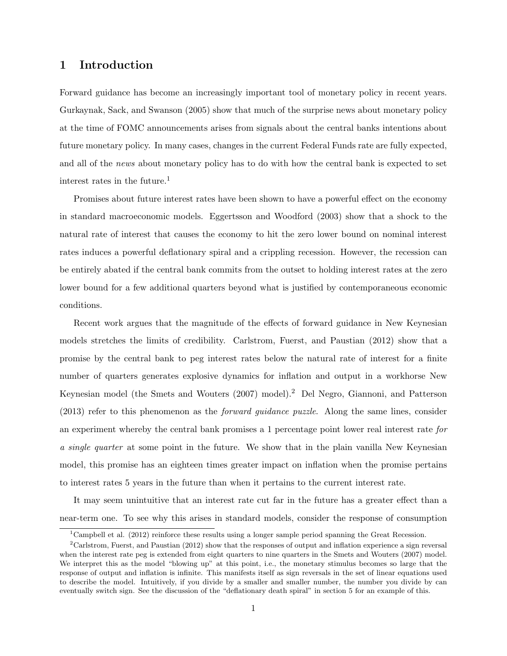### 1 Introduction

Forward guidance has become an increasingly important tool of monetary policy in recent years. Gurkaynak, Sack, and Swanson (2005) show that much of the surprise news about monetary policy at the time of FOMC announcements arises from signals about the central banks intentions about future monetary policy. In many cases, changes in the current Federal Funds rate are fully expected, and all of the news about monetary policy has to do with how the central bank is expected to set interest rates in the future.<sup>1</sup>

Promises about future interest rates have been shown to have a powerful effect on the economy in standard macroeconomic models. Eggertsson and Woodford (2003) show that a shock to the natural rate of interest that causes the economy to hit the zero lower bound on nominal interest rates induces a powerful deflationary spiral and a crippling recession. However, the recession can be entirely abated if the central bank commits from the outset to holding interest rates at the zero lower bound for a few additional quarters beyond what is justified by contemporaneous economic conditions.

Recent work argues that the magnitude of the effects of forward guidance in New Keynesian models stretches the limits of credibility. Carlstrom, Fuerst, and Paustian (2012) show that a promise by the central bank to peg interest rates below the natural rate of interest for a finite number of quarters generates explosive dynamics for inflation and output in a workhorse New Keynesian model (the Smets and Wouters (2007) model).<sup>2</sup> Del Negro, Giannoni, and Patterson (2013) refer to this phenomenon as the forward guidance puzzle. Along the same lines, consider an experiment whereby the central bank promises a 1 percentage point lower real interest rate for a single quarter at some point in the future. We show that in the plain vanilla New Keynesian model, this promise has an eighteen times greater impact on inflation when the promise pertains to interest rates 5 years in the future than when it pertains to the current interest rate.

It may seem unintuitive that an interest rate cut far in the future has a greater effect than a near-term one. To see why this arises in standard models, consider the response of consumption

<sup>&</sup>lt;sup>1</sup>Campbell et al. (2012) reinforce these results using a longer sample period spanning the Great Recession.

<sup>&</sup>lt;sup>2</sup>Carlstrom, Fuerst, and Paustian (2012) show that the responses of output and inflation experience a sign reversal when the interest rate peg is extended from eight quarters to nine quarters in the Smets and Wouters (2007) model. We interpret this as the model "blowing up" at this point, i.e., the monetary stimulus becomes so large that the response of output and inflation is infinite. This manifests itself as sign reversals in the set of linear equations used to describe the model. Intuitively, if you divide by a smaller and smaller number, the number you divide by can eventually switch sign. See the discussion of the "deflationary death spiral" in section 5 for an example of this.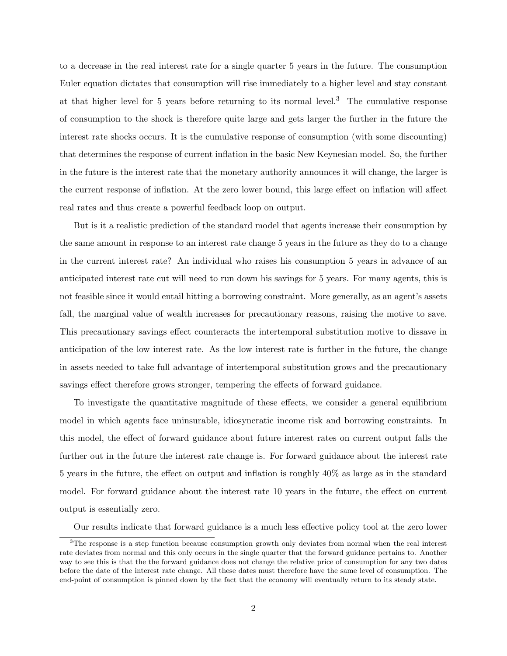to a decrease in the real interest rate for a single quarter 5 years in the future. The consumption Euler equation dictates that consumption will rise immediately to a higher level and stay constant at that higher level for 5 years before returning to its normal level.<sup>3</sup> The cumulative response of consumption to the shock is therefore quite large and gets larger the further in the future the interest rate shocks occurs. It is the cumulative response of consumption (with some discounting) that determines the response of current inflation in the basic New Keynesian model. So, the further in the future is the interest rate that the monetary authority announces it will change, the larger is the current response of inflation. At the zero lower bound, this large effect on inflation will affect real rates and thus create a powerful feedback loop on output.

But is it a realistic prediction of the standard model that agents increase their consumption by the same amount in response to an interest rate change 5 years in the future as they do to a change in the current interest rate? An individual who raises his consumption 5 years in advance of an anticipated interest rate cut will need to run down his savings for 5 years. For many agents, this is not feasible since it would entail hitting a borrowing constraint. More generally, as an agent's assets fall, the marginal value of wealth increases for precautionary reasons, raising the motive to save. This precautionary savings effect counteracts the intertemporal substitution motive to dissave in anticipation of the low interest rate. As the low interest rate is further in the future, the change in assets needed to take full advantage of intertemporal substitution grows and the precautionary savings effect therefore grows stronger, tempering the effects of forward guidance.

To investigate the quantitative magnitude of these effects, we consider a general equilibrium model in which agents face uninsurable, idiosyncratic income risk and borrowing constraints. In this model, the effect of forward guidance about future interest rates on current output falls the further out in the future the interest rate change is. For forward guidance about the interest rate 5 years in the future, the effect on output and inflation is roughly 40% as large as in the standard model. For forward guidance about the interest rate 10 years in the future, the effect on current output is essentially zero.

Our results indicate that forward guidance is a much less effective policy tool at the zero lower

<sup>&</sup>lt;sup>3</sup>The response is a step function because consumption growth only deviates from normal when the real interest rate deviates from normal and this only occurs in the single quarter that the forward guidance pertains to. Another way to see this is that the the forward guidance does not change the relative price of consumption for any two dates before the date of the interest rate change. All these dates must therefore have the same level of consumption. The end-point of consumption is pinned down by the fact that the economy will eventually return to its steady state.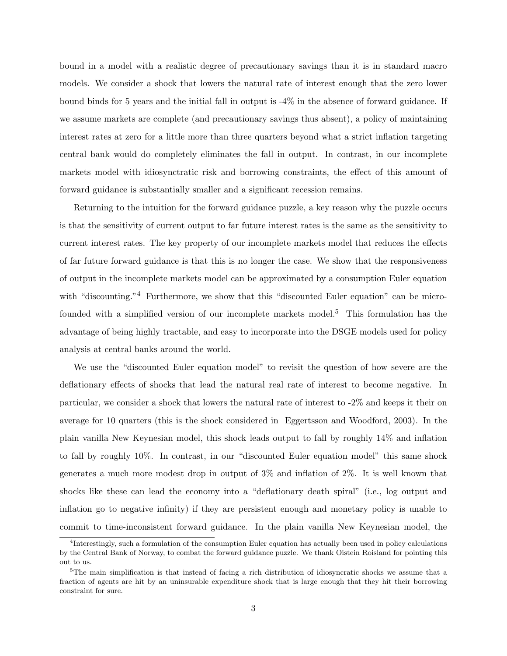bound in a model with a realistic degree of precautionary savings than it is in standard macro models. We consider a shock that lowers the natural rate of interest enough that the zero lower bound binds for 5 years and the initial fall in output is -4% in the absence of forward guidance. If we assume markets are complete (and precautionary savings thus absent), a policy of maintaining interest rates at zero for a little more than three quarters beyond what a strict inflation targeting central bank would do completely eliminates the fall in output. In contrast, in our incomplete markets model with idiosynctratic risk and borrowing constraints, the effect of this amount of forward guidance is substantially smaller and a significant recession remains.

Returning to the intuition for the forward guidance puzzle, a key reason why the puzzle occurs is that the sensitivity of current output to far future interest rates is the same as the sensitivity to current interest rates. The key property of our incomplete markets model that reduces the effects of far future forward guidance is that this is no longer the case. We show that the responsiveness of output in the incomplete markets model can be approximated by a consumption Euler equation with "discounting."<sup>4</sup> Furthermore, we show that this "discounted Euler equation" can be microfounded with a simplified version of our incomplete markets model.<sup>5</sup> This formulation has the advantage of being highly tractable, and easy to incorporate into the DSGE models used for policy analysis at central banks around the world.

We use the "discounted Euler equation model" to revisit the question of how severe are the deflationary effects of shocks that lead the natural real rate of interest to become negative. In particular, we consider a shock that lowers the natural rate of interest to -2% and keeps it their on average for 10 quarters (this is the shock considered in Eggertsson and Woodford, 2003). In the plain vanilla New Keynesian model, this shock leads output to fall by roughly 14% and inflation to fall by roughly 10%. In contrast, in our "discounted Euler equation model" this same shock generates a much more modest drop in output of 3% and inflation of 2%. It is well known that shocks like these can lead the economy into a "deflationary death spiral" (i.e., log output and inflation go to negative infinity) if they are persistent enough and monetary policy is unable to commit to time-inconsistent forward guidance. In the plain vanilla New Keynesian model, the

<sup>4</sup> Interestingly, such a formulation of the consumption Euler equation has actually been used in policy calculations by the Central Bank of Norway, to combat the forward guidance puzzle. We thank Oistein Roisland for pointing this out to us.

<sup>&</sup>lt;sup>5</sup>The main simplification is that instead of facing a rich distribution of idiosyncratic shocks we assume that a fraction of agents are hit by an uninsurable expenditure shock that is large enough that they hit their borrowing constraint for sure.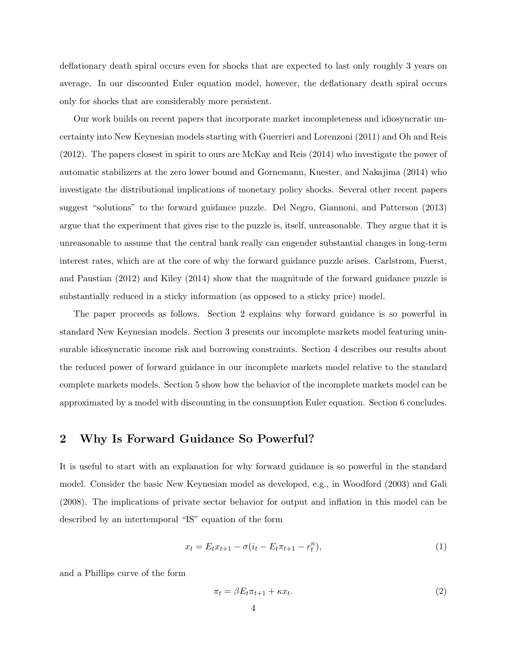deflationary death spiral occurs even for shocks that are expected to last only roughly 3 years on average. In our discounted Euler equation model, however, the deflationary death spiral occurs only for shocks that are considerably more persistent.

Our work builds on recent papers that incorporate market incompleteness and idiosyncratic uncertainty into New Keynesian models starting with Guerrieri and Lorenzoni (2011) and Oh and Reis (2012). The papers closest in spirit to ours are McKay and Reis (2014) who investigate the power of automatic stabilizers at the zero lower bound and Gornemann, Kuester, and Nakajima (2014) who investigate the distributional implications of monetary policy shocks. Several other recent papers suggest "solutions" to the forward guidance puzzle. Del Negro, Giannoni, and Patterson (2013) argue that the experiment that gives rise to the puzzle is, itself, unreasonable. They argue that it is unreasonable to assume that the central bank really can engender substantial changes in long-term interest rates, which are at the core of why the forward guidance puzzle arises. Carlstrom, Fuerst, and Paustian (2012) and Kiley (2014) show that the magnitude of the forward guidance puzzle is substantially reduced in a sticky information (as opposed to a sticky price) model.

The paper proceeds as follows. Section 2 explains why forward guidance is so powerful in standard New Keynesian models. Section 3 presents our incomplete markets model featuring uninsurable idiosyncratic income risk and borrowing constraints. Section 4 describes our results about the reduced power of forward guidance in our incomplete markets model relative to the standard complete markets models. Section 5 show how the behavior of the incomplete markets model can be approximated by a model with discounting in the consumption Euler equation. Section 6 concludes.

### 2 Why Is Forward Guidance So Powerful?

It is useful to start with an explanation for why forward guidance is so powerful in the standard model. Consider the basic New Keynesian model as developed, e.g., in Woodford (2003) and Gali (2008). The implications of private sector behavior for output and inflation in this model can be described by an intertemporal "IS" equation of the form

$$
x_t = E_t x_{t+1} - \sigma(i_t - E_t \pi_{t+1} - r_t^n),
$$
\n(1)

and a Phillips curve of the form

$$
\pi_t = \beta E_t \pi_{t+1} + \kappa x_t. \tag{2}
$$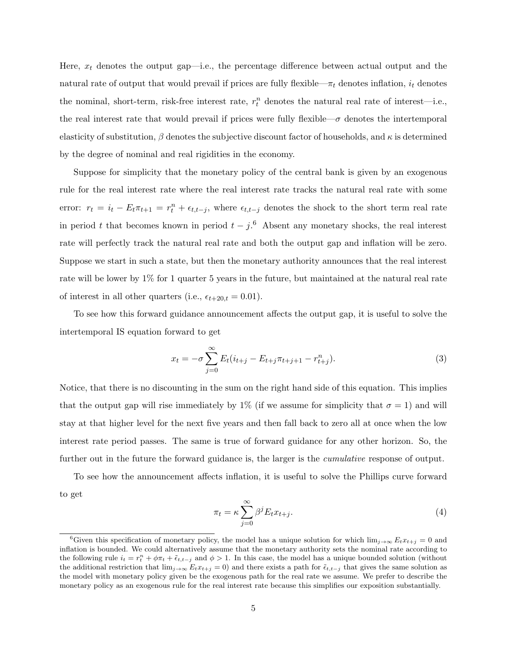Here,  $x_t$  denotes the output gap—i.e., the percentage difference between actual output and the natural rate of output that would prevail if prices are fully flexible— $\pi_t$  denotes inflation,  $i_t$  denotes the nominal, short-term, risk-free interest rate,  $r_t^n$  denotes the natural real rate of interest—i.e., the real interest rate that would prevail if prices were fully flexible— $\sigma$  denotes the intertemporal elasticity of substitution,  $\beta$  denotes the subjective discount factor of households, and  $\kappa$  is determined by the degree of nominal and real rigidities in the economy.

Suppose for simplicity that the monetary policy of the central bank is given by an exogenous rule for the real interest rate where the real interest rate tracks the natural real rate with some error:  $r_t = i_t - E_t \pi_{t+1} = r_t^n + \epsilon_{t,t-j}$ , where  $\epsilon_{t,t-j}$  denotes the shock to the short term real rate in period t that becomes known in period  $t - j$ .<sup>6</sup> Absent any monetary shocks, the real interest rate will perfectly track the natural real rate and both the output gap and inflation will be zero. Suppose we start in such a state, but then the monetary authority announces that the real interest rate will be lower by 1% for 1 quarter 5 years in the future, but maintained at the natural real rate of interest in all other quarters (i.e.,  $\epsilon_{t+20,t} = 0.01$ ).

To see how this forward guidance announcement affects the output gap, it is useful to solve the intertemporal IS equation forward to get

$$
x_t = -\sigma \sum_{j=0}^{\infty} E_t (i_{t+j} - E_{t+j} \pi_{t+j+1} - r_{t+j}^n).
$$
 (3)

Notice, that there is no discounting in the sum on the right hand side of this equation. This implies that the output gap will rise immediately by 1% (if we assume for simplicity that  $\sigma = 1$ ) and will stay at that higher level for the next five years and then fall back to zero all at once when the low interest rate period passes. The same is true of forward guidance for any other horizon. So, the further out in the future the forward guidance is, the larger is the *cumulative* response of output.

To see how the announcement affects inflation, it is useful to solve the Phillips curve forward to get

$$
\pi_t = \kappa \sum_{j=0}^{\infty} \beta^j E_t x_{t+j}.
$$
\n(4)

<sup>&</sup>lt;sup>6</sup>Given this specification of monetary policy, the model has a unique solution for which  $\lim_{j\to\infty} E_t x_{t+j} = 0$  and inflation is bounded. We could alternatively assume that the monetary authority sets the nominal rate according to the following rule  $i_t = r_t^n + \phi \pi_t + \tilde{\epsilon}_{t,t-j}$  and  $\phi > 1$ . In this case, the model has a unique bounded solution (without the additional restriction that  $\lim_{j\to\infty} E_t x_{t+j} = 0$  and there exists a path for  $\tilde{\epsilon}_{t,t-j}$  that gives the same solution as the model with monetary policy given be the exogenous path for the real rate we assume. We prefer to describe the monetary policy as an exogenous rule for the real interest rate because this simplifies our exposition substantially.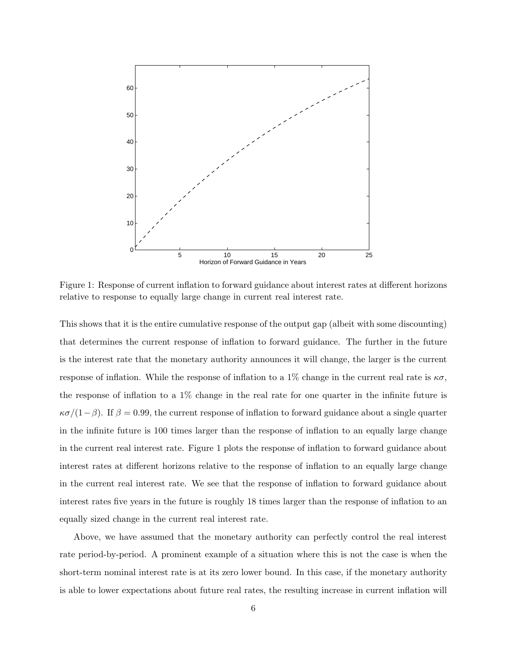

Figure 1: Response of current inflation to forward guidance about interest rates at different horizons relative to response to equally large change in current real interest rate.

This shows that it is the entire cumulative response of the output gap (albeit with some discounting) that determines the current response of inflation to forward guidance. The further in the future is the interest rate that the monetary authority announces it will change, the larger is the current response of inflation. While the response of inflation to a 1% change in the current real rate is  $\kappa \sigma$ , the response of inflation to a 1% change in the real rate for one quarter in the infinite future is  $\kappa\sigma/(1-\beta)$ . If  $\beta = 0.99$ , the current response of inflation to forward guidance about a single quarter in the infinite future is 100 times larger than the response of inflation to an equally large change in the current real interest rate. Figure 1 plots the response of inflation to forward guidance about interest rates at different horizons relative to the response of inflation to an equally large change in the current real interest rate. We see that the response of inflation to forward guidance about interest rates five years in the future is roughly 18 times larger than the response of inflation to an equally sized change in the current real interest rate.

Above, we have assumed that the monetary authority can perfectly control the real interest rate period-by-period. A prominent example of a situation where this is not the case is when the short-term nominal interest rate is at its zero lower bound. In this case, if the monetary authority is able to lower expectations about future real rates, the resulting increase in current inflation will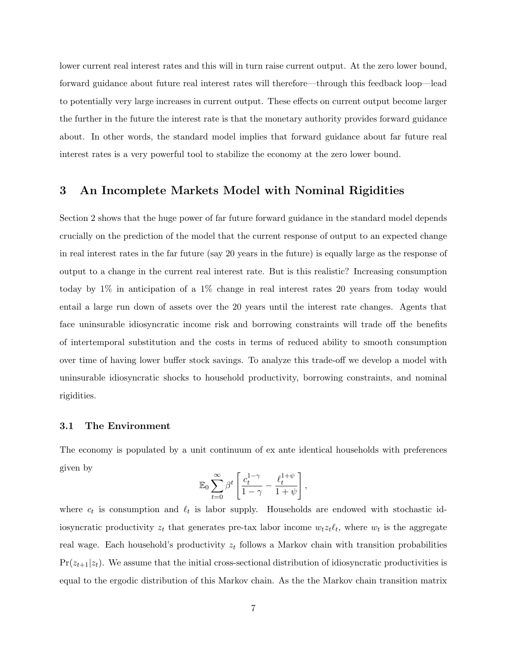lower current real interest rates and this will in turn raise current output. At the zero lower bound, forward guidance about future real interest rates will therefore—through this feedback loop—lead to potentially very large increases in current output. These effects on current output become larger the further in the future the interest rate is that the monetary authority provides forward guidance about. In other words, the standard model implies that forward guidance about far future real interest rates is a very powerful tool to stabilize the economy at the zero lower bound.

### 3 An Incomplete Markets Model with Nominal Rigidities

Section 2 shows that the huge power of far future forward guidance in the standard model depends crucially on the prediction of the model that the current response of output to an expected change in real interest rates in the far future (say 20 years in the future) is equally large as the response of output to a change in the current real interest rate. But is this realistic? Increasing consumption today by 1% in anticipation of a 1% change in real interest rates 20 years from today would entail a large run down of assets over the 20 years until the interest rate changes. Agents that face uninsurable idiosyncratic income risk and borrowing constraints will trade off the benefits of intertemporal substitution and the costs in terms of reduced ability to smooth consumption over time of having lower buffer stock savings. To analyze this trade-off we develop a model with uninsurable idiosyncratic shocks to household productivity, borrowing constraints, and nominal rigidities.

#### 3.1 The Environment

The economy is populated by a unit continuum of ex ante identical households with preferences given by

$$
\mathbb{E}_0 \sum_{t=0}^\infty \beta^t \left[ \frac{c_t^{1-\gamma}}{1-\gamma} - \frac{\ell_t^{1+\psi}}{1+\psi}\right]
$$

,

where  $c_t$  is consumption and  $\ell_t$  is labor supply. Households are endowed with stochastic idiosyncratic productivity  $z_t$  that generates pre-tax labor income  $w_t z_t \ell_t$ , where  $w_t$  is the aggregate real wage. Each household's productivity  $z_t$  follows a Markov chain with transition probabilities  $Pr(z_{t+1}|z_t)$ . We assume that the initial cross-sectional distribution of idiosyncratic productivities is equal to the ergodic distribution of this Markov chain. As the the Markov chain transition matrix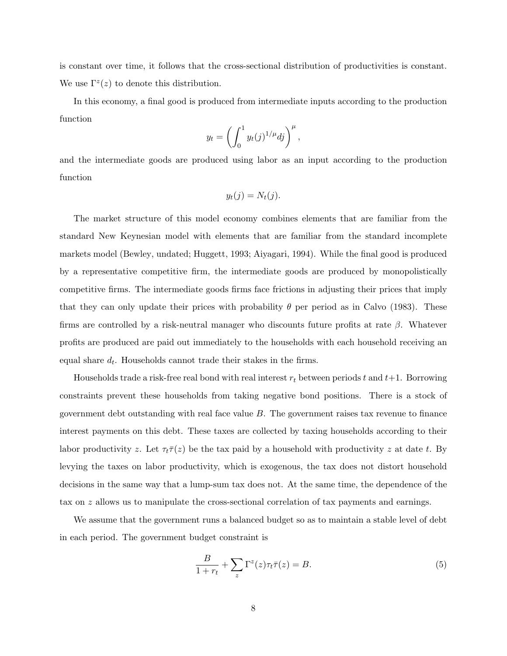is constant over time, it follows that the cross-sectional distribution of productivities is constant. We use  $\Gamma^z(z)$  to denote this distribution.

In this economy, a final good is produced from intermediate inputs according to the production function

$$
y_t = \left(\int_0^1 y_t(j)^{1/\mu} dj\right)^{\mu},
$$

and the intermediate goods are produced using labor as an input according to the production function

$$
y_t(j) = N_t(j).
$$

The market structure of this model economy combines elements that are familiar from the standard New Keynesian model with elements that are familiar from the standard incomplete markets model (Bewley, undated; Huggett, 1993; Aiyagari, 1994). While the final good is produced by a representative competitive firm, the intermediate goods are produced by monopolistically competitive firms. The intermediate goods firms face frictions in adjusting their prices that imply that they can only update their prices with probability  $\theta$  per period as in Calvo (1983). These firms are controlled by a risk-neutral manager who discounts future profits at rate  $\beta$ . Whatever profits are produced are paid out immediately to the households with each household receiving an equal share  $d_t$ . Households cannot trade their stakes in the firms.

Households trade a risk-free real bond with real interest  $r_t$  between periods t and t+1. Borrowing constraints prevent these households from taking negative bond positions. There is a stock of government debt outstanding with real face value  $B$ . The government raises tax revenue to finance interest payments on this debt. These taxes are collected by taxing households according to their labor productivity z. Let  $\tau_t\bar{\tau}(z)$  be the tax paid by a household with productivity z at date t. By levying the taxes on labor productivity, which is exogenous, the tax does not distort household decisions in the same way that a lump-sum tax does not. At the same time, the dependence of the tax on z allows us to manipulate the cross-sectional correlation of tax payments and earnings.

We assume that the government runs a balanced budget so as to maintain a stable level of debt in each period. The government budget constraint is

$$
\frac{B}{1+r_t} + \sum_z \Gamma^z(z)\tau_t \bar{\tau}(z) = B.
$$
\n(5)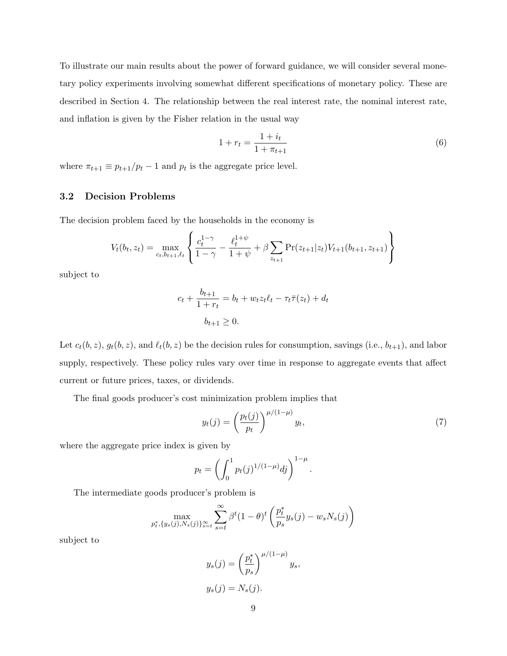To illustrate our main results about the power of forward guidance, we will consider several monetary policy experiments involving somewhat different specifications of monetary policy. These are described in Section 4. The relationship between the real interest rate, the nominal interest rate, and inflation is given by the Fisher relation in the usual way

$$
1 + r_t = \frac{1 + i_t}{1 + \pi_{t+1}}\tag{6}
$$

where  $\pi_{t+1} \equiv p_{t+1}/p_t - 1$  and  $p_t$  is the aggregate price level.

### 3.2 Decision Problems

The decision problem faced by the households in the economy is

$$
V_t(b_t, z_t) = \max_{c_t, b_{t+1}, \ell_t} \left\{ \frac{c_t^{1-\gamma}}{1-\gamma} - \frac{\ell_t^{1+\psi}}{1+\psi} + \beta \sum_{z_{t+1}} \Pr(z_{t+1}|z_t) V_{t+1}(b_{t+1}, z_{t+1}) \right\}
$$

subject to

$$
c_t + \frac{b_{t+1}}{1+r_t} = b_t + w_t z_t \ell_t - \tau_t \overline{\tau}(z_t) + d_t
$$

$$
b_{t+1} \ge 0.
$$

Let  $c_t(b, z)$ ,  $g_t(b, z)$ , and  $\ell_t(b, z)$  be the decision rules for consumption, savings (i.e.,  $b_{t+1}$ ), and labor supply, respectively. These policy rules vary over time in response to aggregate events that affect current or future prices, taxes, or dividends.

The final goods producer's cost minimization problem implies that

$$
y_t(j) = \left(\frac{p_t(j)}{p_t}\right)^{\mu/(1-\mu)} y_t,\tag{7}
$$

where the aggregate price index is given by

$$
p_t = \left( \int_0^1 p_t(j)^{1/(1-\mu)} dj \right)^{1-\mu}.
$$

The intermediate goods producer's problem is

$$
\max_{p_t^*, \{y_s(j), N_s(j)\}_{s=t}^{\infty}} \sum_{s=t}^{\infty} \beta^t (1-\theta)^t \left( \frac{p_t^*}{p_s} y_s(j) - w_s N_s(j) \right)
$$

subject to

$$
y_s(j) = \left(\frac{p_t^*}{p_s}\right)^{\mu/(1-\mu)} y_s,
$$
  

$$
y_s(j) = N_s(j).
$$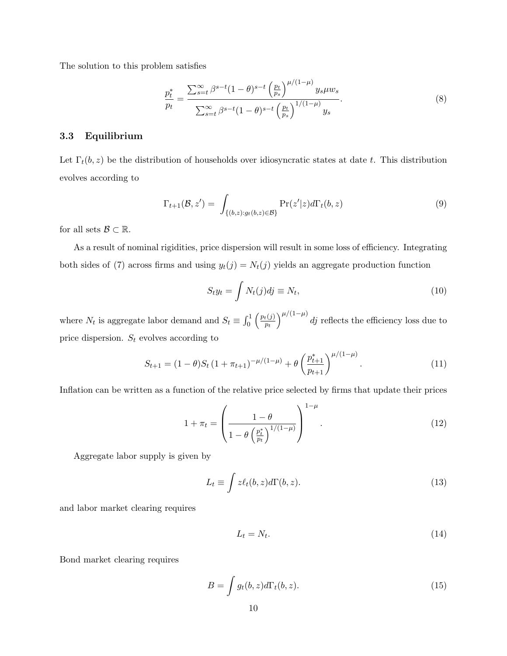The solution to this problem satisfies

$$
\frac{p_t^*}{p_t} = \frac{\sum_{s=t}^{\infty} \beta^{s-t} (1-\theta)^{s-t} \left(\frac{p_t}{p_s}\right)^{\mu/(1-\mu)} y_s \mu w_s}{\sum_{s=t}^{\infty} \beta^{s-t} (1-\theta)^{s-t} \left(\frac{p_t}{p_s}\right)^{1/(1-\mu)} y_s}.
$$
\n(8)

### 3.3 Equilibrium

Let  $\Gamma_t(b, z)$  be the distribution of households over idiosyncratic states at date t. This distribution evolves according to

$$
\Gamma_{t+1}(\mathcal{B}, z') = \int_{\{(b,z):g_t(b,z)\in\mathcal{B}\}} \Pr(z'|z) d\Gamma_t(b, z)
$$
\n(9)

for all sets  $\mathcal{B} \subset \mathbb{R}$ .

As a result of nominal rigidities, price dispersion will result in some loss of efficiency. Integrating both sides of (7) across firms and using  $y_t(j) = N_t(j)$  yields an aggregate production function

$$
S_t y_t = \int N_t(j) d\mathbf{j} \equiv N_t,\tag{10}
$$

where  $N_t$  is aggregate labor demand and  $S_t \equiv \int_0^1 \left(\frac{p_t(j)}{p_t}\right)^2$  $\left(\frac{h\left(j\right)}{p_{t}}\right)^{\mu/\left(1-\mu\right)}d j$  reflects the efficiency loss due to price dispersion.  $S_t$  evolves according to

$$
S_{t+1} = (1 - \theta)S_t \left(1 + \pi_{t+1}\right)^{-\mu/(1-\mu)} + \theta \left(\frac{p_{t+1}^*}{p_{t+1}}\right)^{\mu/(1-\mu)}.\tag{11}
$$

Inflation can be written as a function of the relative price selected by firms that update their prices

$$
1 + \pi_t = \left(\frac{1 - \theta}{1 - \theta \left(\frac{p_t^*}{p_t}\right)^{1/(1-\mu)}}\right)^{1-\mu}.
$$
\n(12)

Aggregate labor supply is given by

$$
L_t \equiv \int z \ell_t(b, z) d\Gamma(b, z). \tag{13}
$$

and labor market clearing requires

$$
L_t = N_t. \tag{14}
$$

Bond market clearing requires

$$
B = \int g_t(b, z) d\Gamma_t(b, z). \tag{15}
$$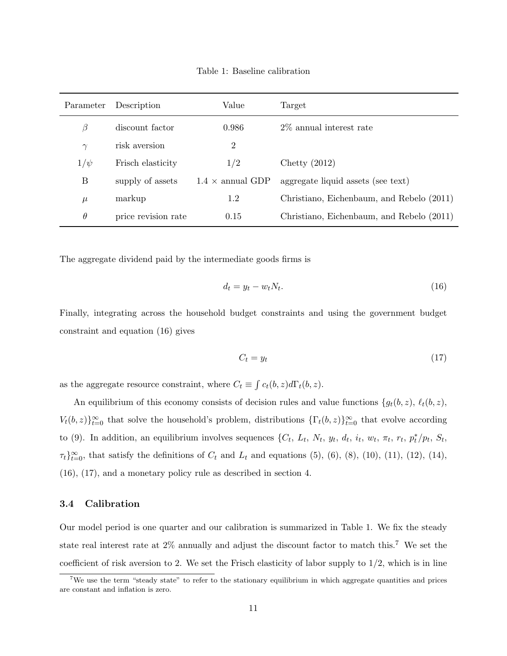Table 1: Baseline calibration

| Parameter | Description         | Value                   | Target                                    |
|-----------|---------------------|-------------------------|-------------------------------------------|
| β         | discount factor     | 0.986                   | 2\% annual interest rate                  |
| $\gamma$  | risk aversion       | $\overline{2}$          |                                           |
| $1/\psi$  | Frisch elasticity   | 1/2                     | Chetty $(2012)$                           |
| Β         | supply of assets    | $1.4 \times$ annual GDP | aggregate liquid assets (see text)        |
| $\mu$     | markup              | 1.2                     | Christiano, Eichenbaum, and Rebelo (2011) |
| $\theta$  | price revision rate | 0.15                    | Christiano, Eichenbaum, and Rebelo (2011) |

The aggregate dividend paid by the intermediate goods firms is

$$
d_t = y_t - w_t N_t. \tag{16}
$$

Finally, integrating across the household budget constraints and using the government budget constraint and equation (16) gives

$$
C_t = y_t \tag{17}
$$

as the aggregate resource constraint, where  $C_t \equiv \int c_t(b, z) d\Gamma_t(b, z)$ .

An equilibrium of this economy consists of decision rules and value functions  $\{g_t(b, z), \ell_t(b, z),\}$  $V_t(b, z)$ <sub>i</sub> $\}_{t=0}^{\infty}$  that solve the household's problem, distributions  $\{\Gamma_t(b, z)\}_{t=0}^{\infty}$  that evolve according to (9). In addition, an equilibrium involves sequences  $\{C_t, L_t, N_t, y_t, d_t, i_t, w_t, \pi_t, r_t, p_t^*/p_t, S_t,$  $\tau_t\}_{t=0}^{\infty}$ , that satisfy the definitions of  $C_t$  and  $L_t$  and equations (5), (6), (8), (10), (11), (12), (14), (16), (17), and a monetary policy rule as described in section 4.

#### 3.4 Calibration

Our model period is one quarter and our calibration is summarized in Table 1. We fix the steady state real interest rate at 2% annually and adjust the discount factor to match this.<sup>7</sup> We set the coefficient of risk aversion to 2. We set the Frisch elasticity of labor supply to  $1/2$ , which is in line

<sup>&</sup>lt;sup>7</sup>We use the term "steady state" to refer to the stationary equilibrium in which aggregate quantities and prices are constant and inflation is zero.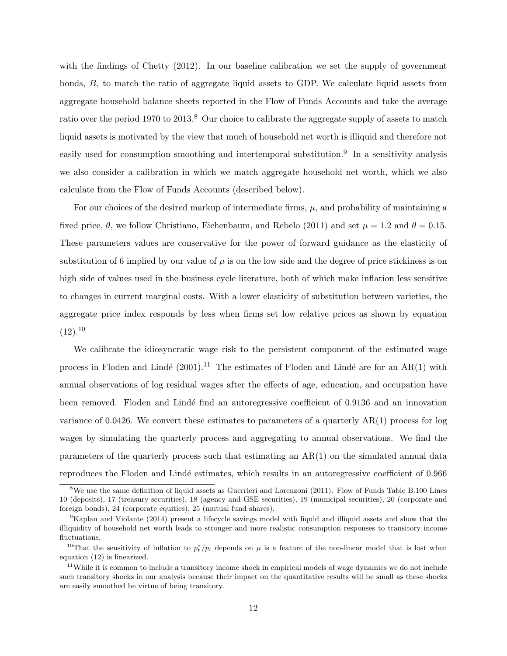with the findings of Chetty (2012). In our baseline calibration we set the supply of government bonds, B, to match the ratio of aggregate liquid assets to GDP. We calculate liquid assets from aggregate household balance sheets reported in the Flow of Funds Accounts and take the average ratio over the period 1970 to 2013.<sup>8</sup> Our choice to calibrate the aggregate supply of assets to match liquid assets is motivated by the view that much of household net worth is illiquid and therefore not easily used for consumption smoothing and intertemporal substitution.<sup>9</sup> In a sensitivity analysis we also consider a calibration in which we match aggregate household net worth, which we also calculate from the Flow of Funds Accounts (described below).

For our choices of the desired markup of intermediate firms,  $\mu$ , and probability of maintaining a fixed price,  $\theta$ , we follow Christiano, Eichenbaum, and Rebelo (2011) and set  $\mu = 1.2$  and  $\theta = 0.15$ . These parameters values are conservative for the power of forward guidance as the elasticity of substitution of 6 implied by our value of  $\mu$  is on the low side and the degree of price stickiness is on high side of values used in the business cycle literature, both of which make inflation less sensitive to changes in current marginal costs. With a lower elasticity of substitution between varieties, the aggregate price index responds by less when firms set low relative prices as shown by equation  $(12).^{10}$ 

We calibrate the idiosyncratic wage risk to the persistent component of the estimated wage process in Floden and Lindé (2001).<sup>11</sup> The estimates of Floden and Lindé are for an AR(1) with annual observations of log residual wages after the effects of age, education, and occupation have been removed. Floden and Lindé find an autoregressive coefficient of 0.9136 and an innovation variance of 0.0426. We convert these estimates to parameters of a quarterly  $AR(1)$  process for log wages by simulating the quarterly process and aggregating to annual observations. We find the parameters of the quarterly process such that estimating an AR(1) on the simulated annual data reproduces the Floden and Lind´e estimates, which results in an autoregressive coefficient of 0.966

 $8$ We use the same definition of liquid assets as Guerrieri and Lorenzoni (2011). Flow of Funds Table B.100 Lines 10 (deposits), 17 (treasury securities), 18 (agency and GSE securities), 19 (municipal securities), 20 (corporate and foreign bonds), 24 (corporate equities), 25 (mutual fund shares).

<sup>9</sup>Kaplan and Violante (2014) present a lifecycle savings model with liquid and illiquid assets and show that the illiquidity of household net worth leads to stronger and more realistic consumption responses to transitory income fluctuations.

<sup>&</sup>lt;sup>10</sup>That the sensitivity of inflation to  $p_t^*/p_t$  depends on  $\mu$  is a feature of the non-linear model that is lost when equation (12) is linearized.

<sup>&</sup>lt;sup>11</sup>While it is common to include a transitory income shock in empirical models of wage dynamics we do not include such transitory shocks in our analysis because their impact on the quantitative results will be small as these shocks are easily smoothed be virtue of being transitory.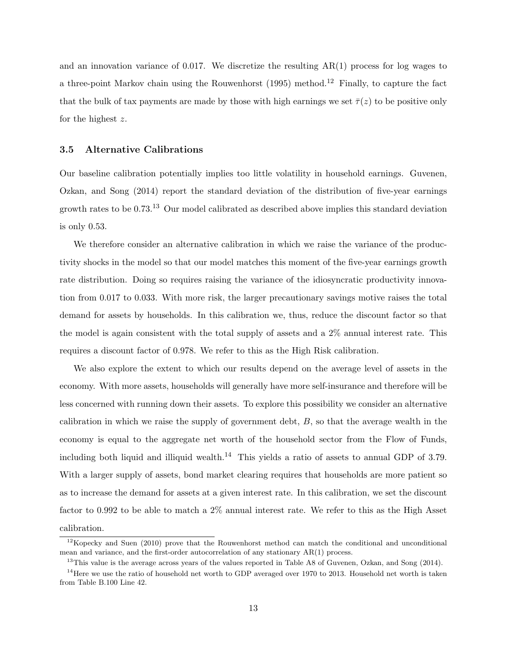and an innovation variance of 0.017. We discretize the resulting  $AR(1)$  process for log wages to a three-point Markov chain using the Rouwenhorst  $(1995)$  method.<sup>12</sup> Finally, to capture the fact that the bulk of tax payments are made by those with high earnings we set  $\bar{\tau}(z)$  to be positive only for the highest z.

### 3.5 Alternative Calibrations

Our baseline calibration potentially implies too little volatility in household earnings. Guvenen, Ozkan, and Song (2014) report the standard deviation of the distribution of five-year earnings growth rates to be  $0.73^{13}$  Our model calibrated as described above implies this standard deviation is only 0.53.

We therefore consider an alternative calibration in which we raise the variance of the productivity shocks in the model so that our model matches this moment of the five-year earnings growth rate distribution. Doing so requires raising the variance of the idiosyncratic productivity innovation from 0.017 to 0.033. With more risk, the larger precautionary savings motive raises the total demand for assets by households. In this calibration we, thus, reduce the discount factor so that the model is again consistent with the total supply of assets and a 2% annual interest rate. This requires a discount factor of 0.978. We refer to this as the High Risk calibration.

We also explore the extent to which our results depend on the average level of assets in the economy. With more assets, households will generally have more self-insurance and therefore will be less concerned with running down their assets. To explore this possibility we consider an alternative calibration in which we raise the supply of government debt, B, so that the average wealth in the economy is equal to the aggregate net worth of the household sector from the Flow of Funds, including both liquid and illiquid wealth.<sup>14</sup> This yields a ratio of assets to annual GDP of 3.79. With a larger supply of assets, bond market clearing requires that households are more patient so as to increase the demand for assets at a given interest rate. In this calibration, we set the discount factor to 0.992 to be able to match a 2% annual interest rate. We refer to this as the High Asset calibration.

 $12$ Kopecky and Suen (2010) prove that the Rouwenhorst method can match the conditional and unconditional mean and variance, and the first-order autocorrelation of any stationary AR(1) process.

<sup>&</sup>lt;sup>13</sup>This value is the average across years of the values reported in Table A8 of Guvenen, Ozkan, and Song (2014).

 $14$ Here we use the ratio of household net worth to GDP averaged over 1970 to 2013. Household net worth is taken from Table B.100 Line 42.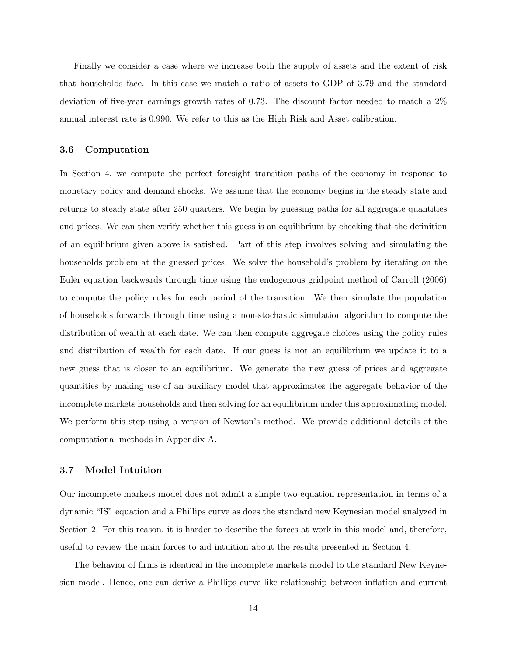Finally we consider a case where we increase both the supply of assets and the extent of risk that households face. In this case we match a ratio of assets to GDP of 3.79 and the standard deviation of five-year earnings growth rates of 0.73. The discount factor needed to match a 2% annual interest rate is 0.990. We refer to this as the High Risk and Asset calibration.

### 3.6 Computation

In Section 4, we compute the perfect foresight transition paths of the economy in response to monetary policy and demand shocks. We assume that the economy begins in the steady state and returns to steady state after 250 quarters. We begin by guessing paths for all aggregate quantities and prices. We can then verify whether this guess is an equilibrium by checking that the definition of an equilibrium given above is satisfied. Part of this step involves solving and simulating the households problem at the guessed prices. We solve the household's problem by iterating on the Euler equation backwards through time using the endogenous gridpoint method of Carroll (2006) to compute the policy rules for each period of the transition. We then simulate the population of households forwards through time using a non-stochastic simulation algorithm to compute the distribution of wealth at each date. We can then compute aggregate choices using the policy rules and distribution of wealth for each date. If our guess is not an equilibrium we update it to a new guess that is closer to an equilibrium. We generate the new guess of prices and aggregate quantities by making use of an auxiliary model that approximates the aggregate behavior of the incomplete markets households and then solving for an equilibrium under this approximating model. We perform this step using a version of Newton's method. We provide additional details of the computational methods in Appendix A.

#### 3.7 Model Intuition

Our incomplete markets model does not admit a simple two-equation representation in terms of a dynamic "IS" equation and a Phillips curve as does the standard new Keynesian model analyzed in Section 2. For this reason, it is harder to describe the forces at work in this model and, therefore, useful to review the main forces to aid intuition about the results presented in Section 4.

The behavior of firms is identical in the incomplete markets model to the standard New Keynesian model. Hence, one can derive a Phillips curve like relationship between inflation and current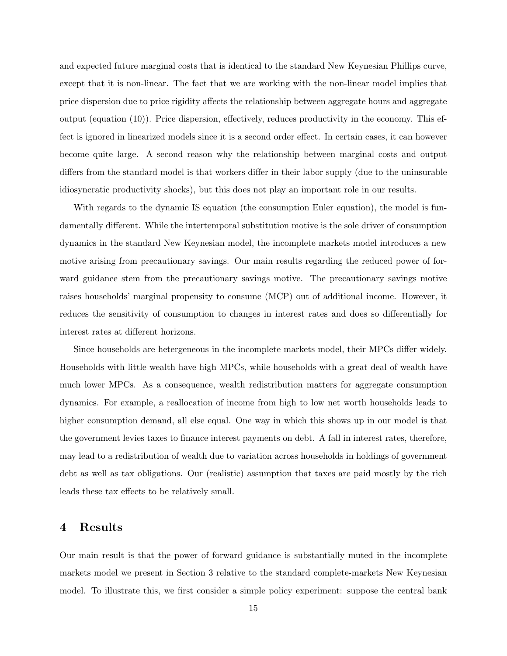and expected future marginal costs that is identical to the standard New Keynesian Phillips curve, except that it is non-linear. The fact that we are working with the non-linear model implies that price dispersion due to price rigidity affects the relationship between aggregate hours and aggregate output (equation (10)). Price dispersion, effectively, reduces productivity in the economy. This effect is ignored in linearized models since it is a second order effect. In certain cases, it can however become quite large. A second reason why the relationship between marginal costs and output differs from the standard model is that workers differ in their labor supply (due to the uninsurable idiosyncratic productivity shocks), but this does not play an important role in our results.

With regards to the dynamic IS equation (the consumption Euler equation), the model is fundamentally different. While the intertemporal substitution motive is the sole driver of consumption dynamics in the standard New Keynesian model, the incomplete markets model introduces a new motive arising from precautionary savings. Our main results regarding the reduced power of forward guidance stem from the precautionary savings motive. The precautionary savings motive raises households' marginal propensity to consume (MCP) out of additional income. However, it reduces the sensitivity of consumption to changes in interest rates and does so differentially for interest rates at different horizons.

Since households are hetergeneous in the incomplete markets model, their MPCs differ widely. Households with little wealth have high MPCs, while households with a great deal of wealth have much lower MPCs. As a consequence, wealth redistribution matters for aggregate consumption dynamics. For example, a reallocation of income from high to low net worth households leads to higher consumption demand, all else equal. One way in which this shows up in our model is that the government levies taxes to finance interest payments on debt. A fall in interest rates, therefore, may lead to a redistribution of wealth due to variation across households in holdings of government debt as well as tax obligations. Our (realistic) assumption that taxes are paid mostly by the rich leads these tax effects to be relatively small.

### 4 Results

Our main result is that the power of forward guidance is substantially muted in the incomplete markets model we present in Section 3 relative to the standard complete-markets New Keynesian model. To illustrate this, we first consider a simple policy experiment: suppose the central bank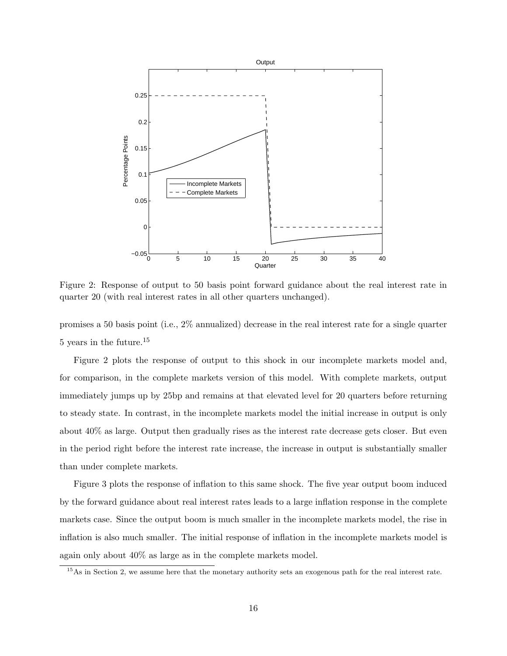

Figure 2: Response of output to 50 basis point forward guidance about the real interest rate in quarter 20 (with real interest rates in all other quarters unchanged).

promises a 50 basis point (i.e., 2% annualized) decrease in the real interest rate for a single quarter 5 years in the future.<sup>15</sup>

Figure 2 plots the response of output to this shock in our incomplete markets model and, for comparison, in the complete markets version of this model. With complete markets, output immediately jumps up by 25bp and remains at that elevated level for 20 quarters before returning to steady state. In contrast, in the incomplete markets model the initial increase in output is only about 40% as large. Output then gradually rises as the interest rate decrease gets closer. But even in the period right before the interest rate increase, the increase in output is substantially smaller than under complete markets.

Figure 3 plots the response of inflation to this same shock. The five year output boom induced by the forward guidance about real interest rates leads to a large inflation response in the complete markets case. Since the output boom is much smaller in the incomplete markets model, the rise in inflation is also much smaller. The initial response of inflation in the incomplete markets model is again only about 40% as large as in the complete markets model.

<sup>&</sup>lt;sup>15</sup>As in Section 2, we assume here that the monetary authority sets an exogenous path for the real interest rate.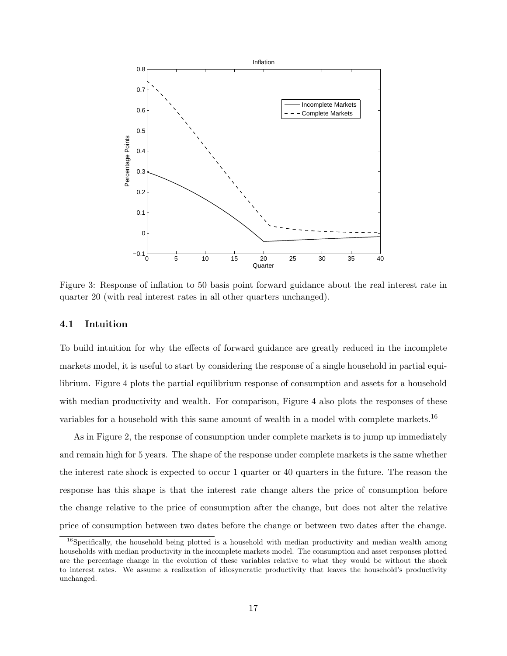

Figure 3: Response of inflation to 50 basis point forward guidance about the real interest rate in quarter 20 (with real interest rates in all other quarters unchanged).

#### 4.1 Intuition

To build intuition for why the effects of forward guidance are greatly reduced in the incomplete markets model, it is useful to start by considering the response of a single household in partial equilibrium. Figure 4 plots the partial equilibrium response of consumption and assets for a household with median productivity and wealth. For comparison, Figure 4 also plots the responses of these variables for a household with this same amount of wealth in a model with complete markets.<sup>16</sup>

As in Figure 2, the response of consumption under complete markets is to jump up immediately and remain high for 5 years. The shape of the response under complete markets is the same whether the interest rate shock is expected to occur 1 quarter or 40 quarters in the future. The reason the response has this shape is that the interest rate change alters the price of consumption before the change relative to the price of consumption after the change, but does not alter the relative price of consumption between two dates before the change or between two dates after the change.

<sup>&</sup>lt;sup>16</sup>Specifically, the household being plotted is a household with median productivity and median wealth among households with median productivity in the incomplete markets model. The consumption and asset responses plotted are the percentage change in the evolution of these variables relative to what they would be without the shock to interest rates. We assume a realization of idiosyncratic productivity that leaves the household's productivity unchanged.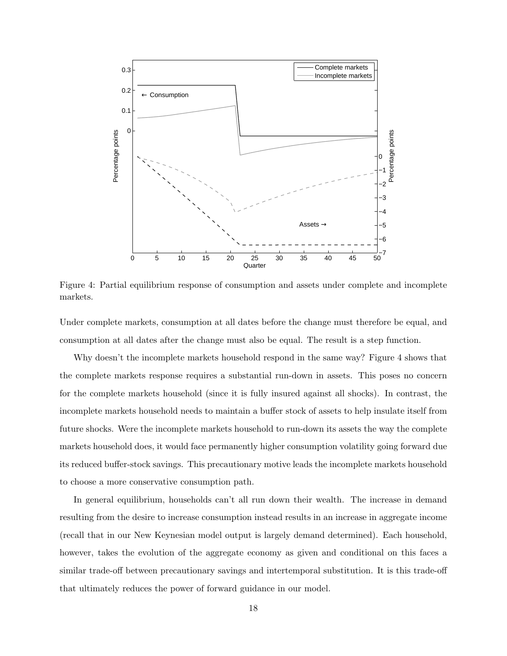

Figure 4: Partial equilibrium response of consumption and assets under complete and incomplete markets.

Under complete markets, consumption at all dates before the change must therefore be equal, and consumption at all dates after the change must also be equal. The result is a step function.

Why doesn't the incomplete markets household respond in the same way? Figure 4 shows that the complete markets response requires a substantial run-down in assets. This poses no concern for the complete markets household (since it is fully insured against all shocks). In contrast, the incomplete markets household needs to maintain a buffer stock of assets to help insulate itself from future shocks. Were the incomplete markets household to run-down its assets the way the complete markets household does, it would face permanently higher consumption volatility going forward due its reduced buffer-stock savings. This precautionary motive leads the incomplete markets household to choose a more conservative consumption path.

In general equilibrium, households can't all run down their wealth. The increase in demand resulting from the desire to increase consumption instead results in an increase in aggregate income (recall that in our New Keynesian model output is largely demand determined). Each household, however, takes the evolution of the aggregate economy as given and conditional on this faces a similar trade-off between precautionary savings and intertemporal substitution. It is this trade-off that ultimately reduces the power of forward guidance in our model.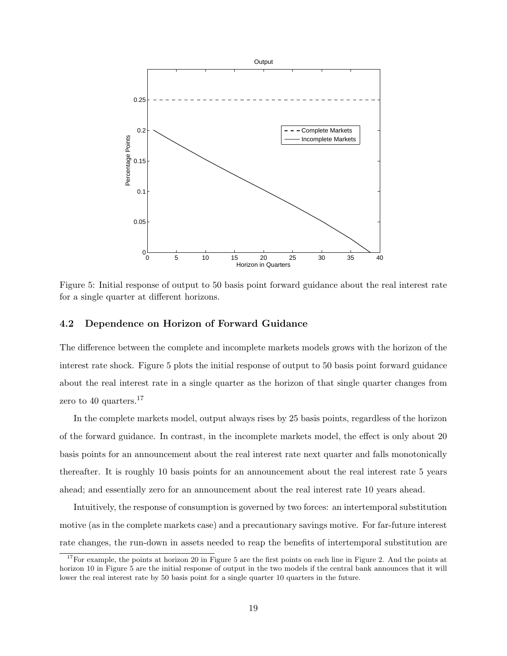

Figure 5: Initial response of output to 50 basis point forward guidance about the real interest rate for a single quarter at different horizons.

#### 4.2 Dependence on Horizon of Forward Guidance

The difference between the complete and incomplete markets models grows with the horizon of the interest rate shock. Figure 5 plots the initial response of output to 50 basis point forward guidance about the real interest rate in a single quarter as the horizon of that single quarter changes from zero to 40 quarters.<sup>17</sup>

In the complete markets model, output always rises by 25 basis points, regardless of the horizon of the forward guidance. In contrast, in the incomplete markets model, the effect is only about 20 basis points for an announcement about the real interest rate next quarter and falls monotonically thereafter. It is roughly 10 basis points for an announcement about the real interest rate 5 years ahead; and essentially zero for an announcement about the real interest rate 10 years ahead.

Intuitively, the response of consumption is governed by two forces: an intertemporal substitution motive (as in the complete markets case) and a precautionary savings motive. For far-future interest rate changes, the run-down in assets needed to reap the benefits of intertemporal substitution are

<sup>&</sup>lt;sup>17</sup>For example, the points at horizon 20 in Figure 5 are the first points on each line in Figure 2. And the points at horizon 10 in Figure 5 are the initial response of output in the two models if the central bank announces that it will lower the real interest rate by 50 basis point for a single quarter 10 quarters in the future.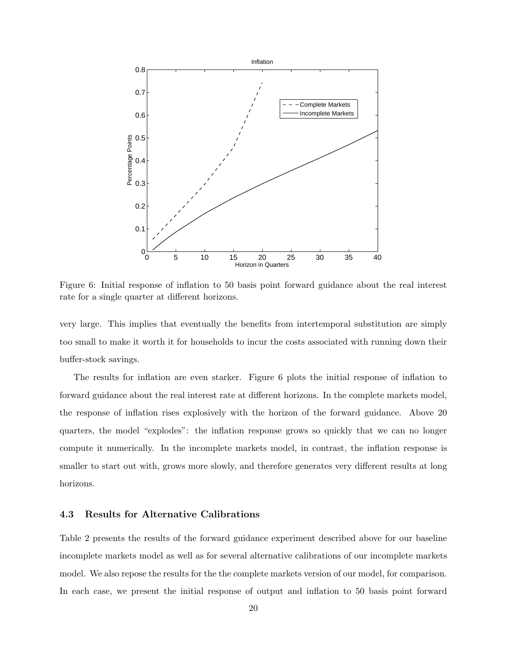

Figure 6: Initial response of inflation to 50 basis point forward guidance about the real interest rate for a single quarter at different horizons.

very large. This implies that eventually the benefits from intertemporal substitution are simply too small to make it worth it for households to incur the costs associated with running down their buffer-stock savings.

The results for inflation are even starker. Figure 6 plots the initial response of inflation to forward guidance about the real interest rate at different horizons. In the complete markets model, the response of inflation rises explosively with the horizon of the forward guidance. Above 20 quarters, the model "explodes": the inflation response grows so quickly that we can no longer compute it numerically. In the incomplete markets model, in contrast, the inflation response is smaller to start out with, grows more slowly, and therefore generates very different results at long horizons.

### 4.3 Results for Alternative Calibrations

Table 2 presents the results of the forward guidance experiment described above for our baseline incomplete markets model as well as for several alternative calibrations of our incomplete markets model. We also repose the results for the the complete markets version of our model, for comparison. In each case, we present the initial response of output and inflation to 50 basis point forward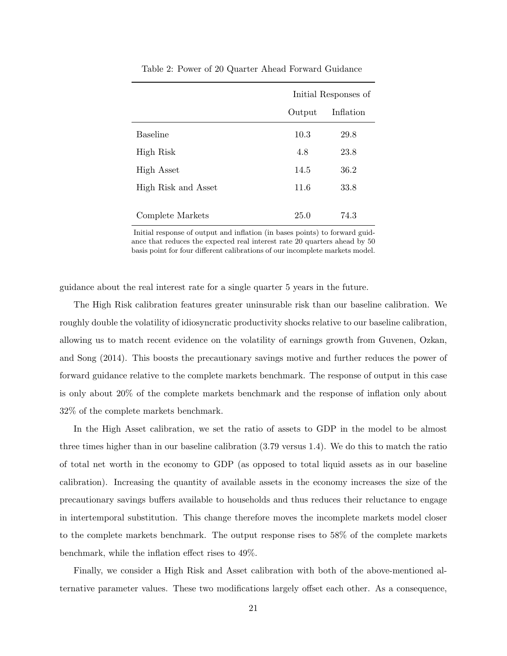|                     | Initial Responses of |           |  |
|---------------------|----------------------|-----------|--|
|                     | Output               | Inflation |  |
| <b>Baseline</b>     | 10.3                 | 29.8      |  |
| High Risk           | 4.8                  | 23.8      |  |
| <b>High Asset</b>   | 14.5                 | 36.2      |  |
| High Risk and Asset | 11.6                 | 33.8      |  |
| Complete Markets    | 25.0                 | 74.3      |  |

Table 2: Power of 20 Quarter Ahead Forward Guidance

Initial response of output and inflation (in bases points) to forward guidance that reduces the expected real interest rate 20 quarters ahead by 50 basis point for four different calibrations of our incomplete markets model.

guidance about the real interest rate for a single quarter 5 years in the future.

The High Risk calibration features greater uninsurable risk than our baseline calibration. We roughly double the volatility of idiosyncratic productivity shocks relative to our baseline calibration, allowing us to match recent evidence on the volatility of earnings growth from Guvenen, Ozkan, and Song (2014). This boosts the precautionary savings motive and further reduces the power of forward guidance relative to the complete markets benchmark. The response of output in this case is only about 20% of the complete markets benchmark and the response of inflation only about 32% of the complete markets benchmark.

In the High Asset calibration, we set the ratio of assets to GDP in the model to be almost three times higher than in our baseline calibration (3.79 versus 1.4). We do this to match the ratio of total net worth in the economy to GDP (as opposed to total liquid assets as in our baseline calibration). Increasing the quantity of available assets in the economy increases the size of the precautionary savings buffers available to households and thus reduces their reluctance to engage in intertemporal substitution. This change therefore moves the incomplete markets model closer to the complete markets benchmark. The output response rises to 58% of the complete markets benchmark, while the inflation effect rises to 49%.

Finally, we consider a High Risk and Asset calibration with both of the above-mentioned alternative parameter values. These two modifications largely offset each other. As a consequence,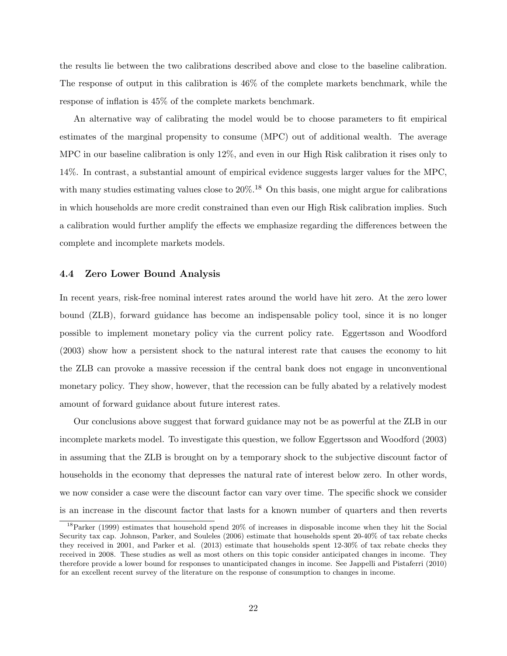the results lie between the two calibrations described above and close to the baseline calibration. The response of output in this calibration is 46% of the complete markets benchmark, while the response of inflation is 45% of the complete markets benchmark.

An alternative way of calibrating the model would be to choose parameters to fit empirical estimates of the marginal propensity to consume (MPC) out of additional wealth. The average MPC in our baseline calibration is only 12%, and even in our High Risk calibration it rises only to 14%. In contrast, a substantial amount of empirical evidence suggests larger values for the MPC, with many studies estimating values close to  $20\%$ .<sup>18</sup> On this basis, one might argue for calibrations in which households are more credit constrained than even our High Risk calibration implies. Such a calibration would further amplify the effects we emphasize regarding the differences between the complete and incomplete markets models.

#### 4.4 Zero Lower Bound Analysis

In recent years, risk-free nominal interest rates around the world have hit zero. At the zero lower bound (ZLB), forward guidance has become an indispensable policy tool, since it is no longer possible to implement monetary policy via the current policy rate. Eggertsson and Woodford (2003) show how a persistent shock to the natural interest rate that causes the economy to hit the ZLB can provoke a massive recession if the central bank does not engage in unconventional monetary policy. They show, however, that the recession can be fully abated by a relatively modest amount of forward guidance about future interest rates.

Our conclusions above suggest that forward guidance may not be as powerful at the ZLB in our incomplete markets model. To investigate this question, we follow Eggertsson and Woodford (2003) in assuming that the ZLB is brought on by a temporary shock to the subjective discount factor of households in the economy that depresses the natural rate of interest below zero. In other words, we now consider a case were the discount factor can vary over time. The specific shock we consider is an increase in the discount factor that lasts for a known number of quarters and then reverts

<sup>18</sup>Parker (1999) estimates that household spend 20% of increases in disposable income when they hit the Social Security tax cap. Johnson, Parker, and Souleles (2006) estimate that households spent 20-40% of tax rebate checks they received in 2001, and Parker et al. (2013) estimate that households spent 12-30% of tax rebate checks they received in 2008. These studies as well as most others on this topic consider anticipated changes in income. They therefore provide a lower bound for responses to unanticipated changes in income. See Jappelli and Pistaferri (2010) for an excellent recent survey of the literature on the response of consumption to changes in income.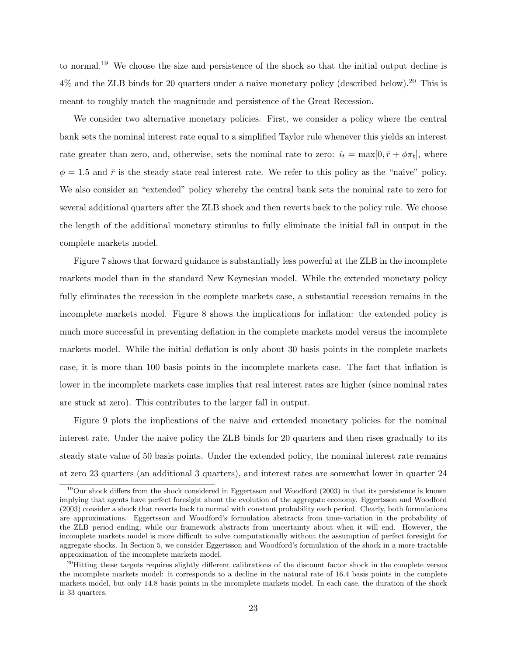to normal.<sup>19</sup> We choose the size and persistence of the shock so that the initial output decline is  $4\%$  and the ZLB binds for 20 quarters under a naive monetary policy (described below).<sup>20</sup> This is meant to roughly match the magnitude and persistence of the Great Recession.

We consider two alternative monetary policies. First, we consider a policy where the central bank sets the nominal interest rate equal to a simplified Taylor rule whenever this yields an interest rate greater than zero, and, otherwise, sets the nominal rate to zero:  $i_t = \max[0, \bar{r} + \phi \pi_t]$ , where  $\phi = 1.5$  and  $\bar{r}$  is the steady state real interest rate. We refer to this policy as the "naive" policy. We also consider an "extended" policy whereby the central bank sets the nominal rate to zero for several additional quarters after the ZLB shock and then reverts back to the policy rule. We choose the length of the additional monetary stimulus to fully eliminate the initial fall in output in the complete markets model.

Figure 7 shows that forward guidance is substantially less powerful at the ZLB in the incomplete markets model than in the standard New Keynesian model. While the extended monetary policy fully eliminates the recession in the complete markets case, a substantial recession remains in the incomplete markets model. Figure 8 shows the implications for inflation: the extended policy is much more successful in preventing deflation in the complete markets model versus the incomplete markets model. While the initial deflation is only about 30 basis points in the complete markets case, it is more than 100 basis points in the incomplete markets case. The fact that inflation is lower in the incomplete markets case implies that real interest rates are higher (since nominal rates are stuck at zero). This contributes to the larger fall in output.

Figure 9 plots the implications of the naive and extended monetary policies for the nominal interest rate. Under the naive policy the ZLB binds for 20 quarters and then rises gradually to its steady state value of 50 basis points. Under the extended policy, the nominal interest rate remains at zero 23 quarters (an additional 3 quarters), and interest rates are somewhat lower in quarter 24

<sup>&</sup>lt;sup>19</sup>Our shock differs from the shock considered in Eggertsson and Woodford (2003) in that its persistence is known implying that agents have perfect foresight about the evolution of the aggregate economy. Eggertsson and Woodford (2003) consider a shock that reverts back to normal with constant probability each period. Clearly, both formulations are approximations. Eggertsson and Woodford's formulation abstracts from time-variation in the probability of the ZLB period ending, while our framework abstracts from uncertainty about when it will end. However, the incomplete markets model is more difficult to solve computationally without the assumption of perfect foresight for aggregate shocks. In Section 5, we consider Eggertsson and Woodford's formulation of the shock in a more tractable approximation of the incomplete markets model.

<sup>&</sup>lt;sup>20</sup>Hitting these targets requires slightly different calibrations of the discount factor shock in the complete versus the incomplete markets model: it corresponds to a decline in the natural rate of 16.4 basis points in the complete markets model, but only 14.8 basis points in the incomplete markets model. In each case, the duration of the shock is 33 quarters.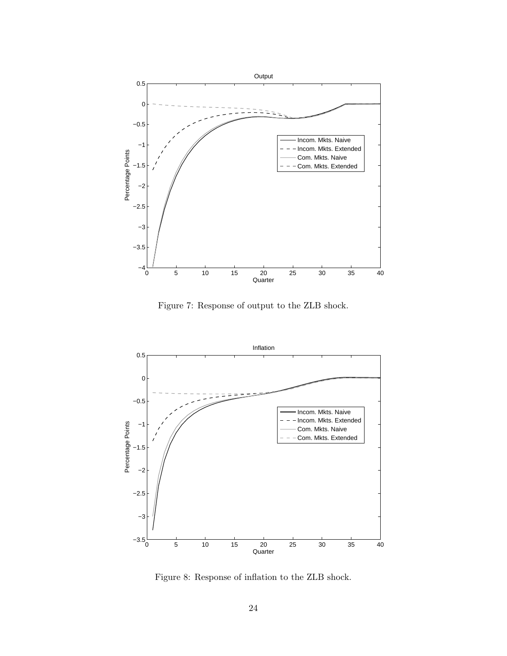

Figure 7: Response of output to the ZLB shock.



Figure 8: Response of inflation to the ZLB shock.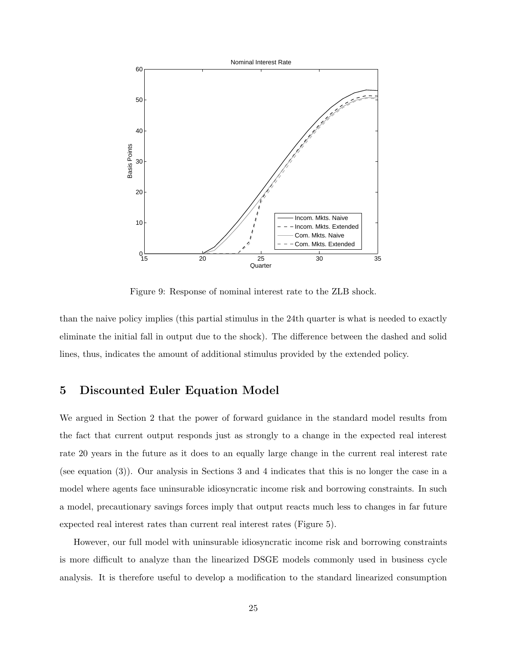

Figure 9: Response of nominal interest rate to the ZLB shock.

than the naive policy implies (this partial stimulus in the 24th quarter is what is needed to exactly eliminate the initial fall in output due to the shock). The difference between the dashed and solid lines, thus, indicates the amount of additional stimulus provided by the extended policy.

### 5 Discounted Euler Equation Model

We argued in Section 2 that the power of forward guidance in the standard model results from the fact that current output responds just as strongly to a change in the expected real interest rate 20 years in the future as it does to an equally large change in the current real interest rate (see equation (3)). Our analysis in Sections 3 and 4 indicates that this is no longer the case in a model where agents face uninsurable idiosyncratic income risk and borrowing constraints. In such a model, precautionary savings forces imply that output reacts much less to changes in far future expected real interest rates than current real interest rates (Figure 5).

However, our full model with uninsurable idiosyncratic income risk and borrowing constraints is more difficult to analyze than the linearized DSGE models commonly used in business cycle analysis. It is therefore useful to develop a modification to the standard linearized consumption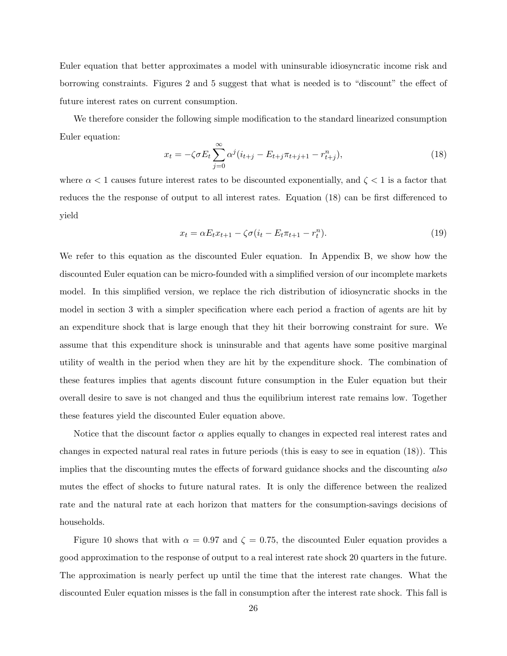Euler equation that better approximates a model with uninsurable idiosyncratic income risk and borrowing constraints. Figures 2 and 5 suggest that what is needed is to "discount" the effect of future interest rates on current consumption.

We therefore consider the following simple modification to the standard linearized consumption Euler equation:

$$
x_t = -\zeta \sigma E_t \sum_{j=0}^{\infty} \alpha^j (i_{t+j} - E_{t+j} \pi_{t+j+1} - r_{t+j}^n), \tag{18}
$$

where  $\alpha < 1$  causes future interest rates to be discounted exponentially, and  $\zeta < 1$  is a factor that reduces the the response of output to all interest rates. Equation (18) can be first differenced to yield

$$
x_t = \alpha E_t x_{t+1} - \zeta \sigma (i_t - E_t \pi_{t+1} - r_t^n). \tag{19}
$$

We refer to this equation as the discounted Euler equation. In Appendix B, we show how the discounted Euler equation can be micro-founded with a simplified version of our incomplete markets model. In this simplified version, we replace the rich distribution of idiosyncratic shocks in the model in section 3 with a simpler specification where each period a fraction of agents are hit by an expenditure shock that is large enough that they hit their borrowing constraint for sure. We assume that this expenditure shock is uninsurable and that agents have some positive marginal utility of wealth in the period when they are hit by the expenditure shock. The combination of these features implies that agents discount future consumption in the Euler equation but their overall desire to save is not changed and thus the equilibrium interest rate remains low. Together these features yield the discounted Euler equation above.

Notice that the discount factor  $\alpha$  applies equally to changes in expected real interest rates and changes in expected natural real rates in future periods (this is easy to see in equation (18)). This implies that the discounting mutes the effects of forward guidance shocks and the discounting also mutes the effect of shocks to future natural rates. It is only the difference between the realized rate and the natural rate at each horizon that matters for the consumption-savings decisions of households.

Figure 10 shows that with  $\alpha = 0.97$  and  $\zeta = 0.75$ , the discounted Euler equation provides a good approximation to the response of output to a real interest rate shock 20 quarters in the future. The approximation is nearly perfect up until the time that the interest rate changes. What the discounted Euler equation misses is the fall in consumption after the interest rate shock. This fall is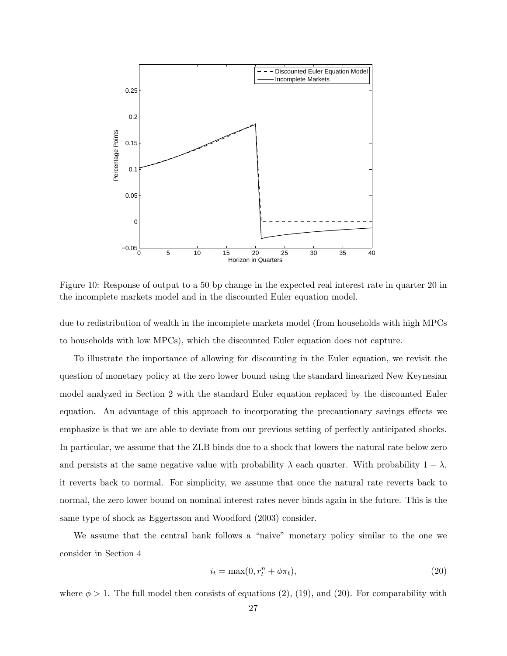

Figure 10: Response of output to a 50 bp change in the expected real interest rate in quarter 20 in the incomplete markets model and in the discounted Euler equation model.

due to redistribution of wealth in the incomplete markets model (from households with high MPCs to households with low MPCs), which the discounted Euler equation does not capture.

To illustrate the importance of allowing for discounting in the Euler equation, we revisit the question of monetary policy at the zero lower bound using the standard linearized New Keynesian model analyzed in Section 2 with the standard Euler equation replaced by the discounted Euler equation. An advantage of this approach to incorporating the precautionary savings effects we emphasize is that we are able to deviate from our previous setting of perfectly anticipated shocks. In particular, we assume that the ZLB binds due to a shock that lowers the natural rate below zero and persists at the same negative value with probability  $\lambda$  each quarter. With probability  $1 - \lambda$ , it reverts back to normal. For simplicity, we assume that once the natural rate reverts back to normal, the zero lower bound on nominal interest rates never binds again in the future. This is the same type of shock as Eggertsson and Woodford (2003) consider.

We assume that the central bank follows a "naive" monetary policy similar to the one we consider in Section 4

$$
i_t = \max(0, r_t^n + \phi \pi_t),\tag{20}
$$

where  $\phi > 1$ . The full model then consists of equations (2), (19), and (20). For comparability with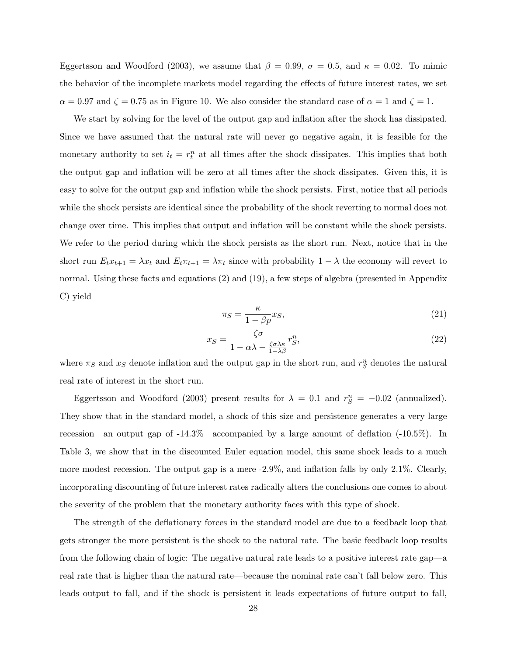Eggertsson and Woodford (2003), we assume that  $\beta = 0.99$ ,  $\sigma = 0.5$ , and  $\kappa = 0.02$ . To mimic the behavior of the incomplete markets model regarding the effects of future interest rates, we set  $\alpha = 0.97$  and  $\zeta = 0.75$  as in Figure 10. We also consider the standard case of  $\alpha = 1$  and  $\zeta = 1$ .

We start by solving for the level of the output gap and inflation after the shock has dissipated. Since we have assumed that the natural rate will never go negative again, it is feasible for the monetary authority to set  $i_t = r_t^n$  at all times after the shock dissipates. This implies that both the output gap and inflation will be zero at all times after the shock dissipates. Given this, it is easy to solve for the output gap and inflation while the shock persists. First, notice that all periods while the shock persists are identical since the probability of the shock reverting to normal does not change over time. This implies that output and inflation will be constant while the shock persists. We refer to the period during which the shock persists as the short run. Next, notice that in the short run  $E_t x_{t+1} = \lambda x_t$  and  $E_t \pi_{t+1} = \lambda \pi_t$  since with probability  $1 - \lambda$  the economy will revert to normal. Using these facts and equations (2) and (19), a few steps of algebra (presented in Appendix C) yield

$$
\pi_S = \frac{\kappa}{1 - \beta p} x_S,\tag{21}
$$

$$
x_S = \frac{\zeta \sigma}{1 - \alpha \lambda - \frac{\zeta \sigma \lambda \kappa}{1 - \lambda \beta}} r_S^n,\tag{22}
$$

where  $\pi_S$  and  $x_S$  denote inflation and the output gap in the short run, and  $r_S^n$  denotes the natural real rate of interest in the short run.

Eggertsson and Woodford (2003) present results for  $\lambda = 0.1$  and  $r_S^n = -0.02$  (annualized). They show that in the standard model, a shock of this size and persistence generates a very large recession—an output gap of -14.3%—accompanied by a large amount of deflation (-10.5%). In Table 3, we show that in the discounted Euler equation model, this same shock leads to a much more modest recession. The output gap is a mere -2.9%, and inflation falls by only 2.1%. Clearly, incorporating discounting of future interest rates radically alters the conclusions one comes to about the severity of the problem that the monetary authority faces with this type of shock.

The strength of the deflationary forces in the standard model are due to a feedback loop that gets stronger the more persistent is the shock to the natural rate. The basic feedback loop results from the following chain of logic: The negative natural rate leads to a positive interest rate gap—a real rate that is higher than the natural rate—because the nominal rate can't fall below zero. This leads output to fall, and if the shock is persistent it leads expectations of future output to fall,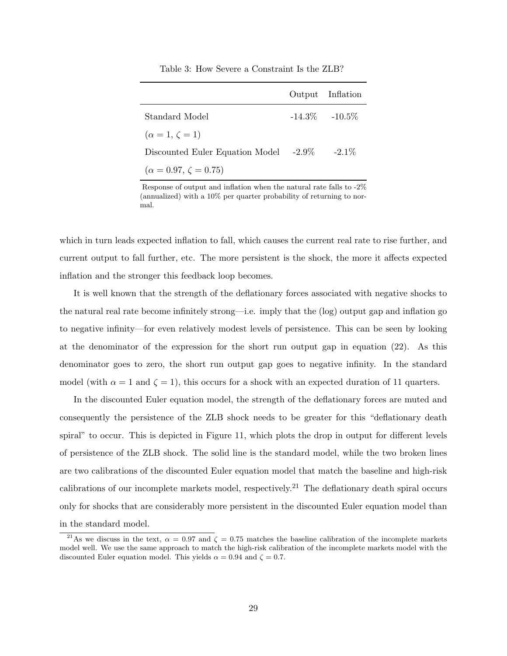| Table 3: How Severe a Constraint Is the ZLB? |  |  |  |  |
|----------------------------------------------|--|--|--|--|
|----------------------------------------------|--|--|--|--|

|                                        | Output Inflation  |
|----------------------------------------|-------------------|
| Standard Model                         | $-14.3\% -10.5\%$ |
| $(\alpha = 1, \zeta = 1)$              |                   |
| Discounted Euler Equation Model -2.9\% | $-2.1\%$          |
| $(\alpha = 0.97, \zeta = 0.75)$        |                   |

Response of output and inflation when the natural rate falls to -2% (annualized) with a 10% per quarter probability of returning to normal.

which in turn leads expected inflation to fall, which causes the current real rate to rise further, and current output to fall further, etc. The more persistent is the shock, the more it affects expected inflation and the stronger this feedback loop becomes.

It is well known that the strength of the deflationary forces associated with negative shocks to the natural real rate become infinitely strong—i.e. imply that the (log) output gap and inflation go to negative infinity—for even relatively modest levels of persistence. This can be seen by looking at the denominator of the expression for the short run output gap in equation (22). As this denominator goes to zero, the short run output gap goes to negative infinity. In the standard model (with  $\alpha = 1$  and  $\zeta = 1$ ), this occurs for a shock with an expected duration of 11 quarters.

In the discounted Euler equation model, the strength of the deflationary forces are muted and consequently the persistence of the ZLB shock needs to be greater for this "deflationary death spiral" to occur. This is depicted in Figure 11, which plots the drop in output for different levels of persistence of the ZLB shock. The solid line is the standard model, while the two broken lines are two calibrations of the discounted Euler equation model that match the baseline and high-risk calibrations of our incomplete markets model, respectively.<sup>21</sup> The deflationary death spiral occurs only for shocks that are considerably more persistent in the discounted Euler equation model than in the standard model.

<sup>&</sup>lt;sup>21</sup>As we discuss in the text,  $\alpha = 0.97$  and  $\zeta = 0.75$  matches the baseline calibration of the incomplete markets model well. We use the same approach to match the high-risk calibration of the incomplete markets model with the discounted Euler equation model. This yields  $\alpha = 0.94$  and  $\zeta = 0.7$ .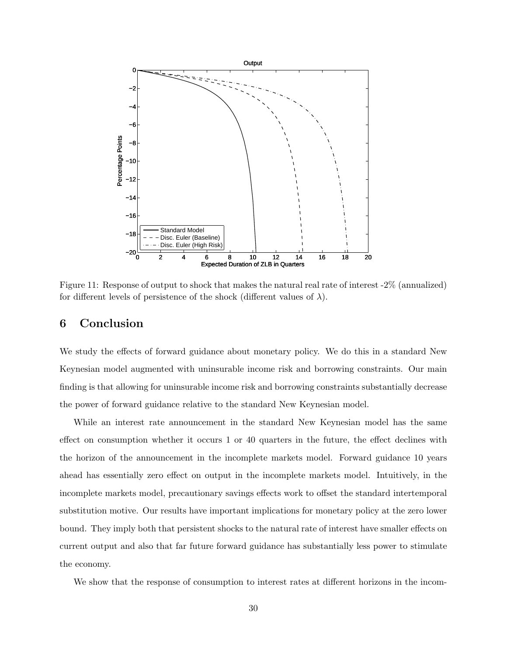

Figure 11: Response of output to shock that makes the natural real rate of interest -2% (annualized) for different levels of persistence of the shock (different values of  $\lambda$ ).

## 6 Conclusion

We study the effects of forward guidance about monetary policy. We do this in a standard New Keynesian model augmented with uninsurable income risk and borrowing constraints. Our main finding is that allowing for uninsurable income risk and borrowing constraints substantially decrease the power of forward guidance relative to the standard New Keynesian model.

While an interest rate announcement in the standard New Keynesian model has the same effect on consumption whether it occurs 1 or 40 quarters in the future, the effect declines with the horizon of the announcement in the incomplete markets model. Forward guidance 10 years ahead has essentially zero effect on output in the incomplete markets model. Intuitively, in the incomplete markets model, precautionary savings effects work to offset the standard intertemporal substitution motive. Our results have important implications for monetary policy at the zero lower bound. They imply both that persistent shocks to the natural rate of interest have smaller effects on current output and also that far future forward guidance has substantially less power to stimulate the economy.

We show that the response of consumption to interest rates at different horizons in the incom-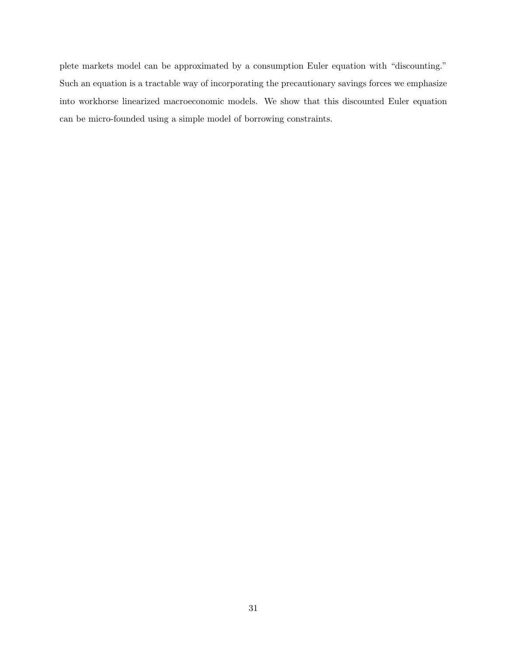plete markets model can be approximated by a consumption Euler equation with "discounting." Such an equation is a tractable way of incorporating the precautionary savings forces we emphasize into workhorse linearized macroeconomic models. We show that this discounted Euler equation can be micro-founded using a simple model of borrowing constraints.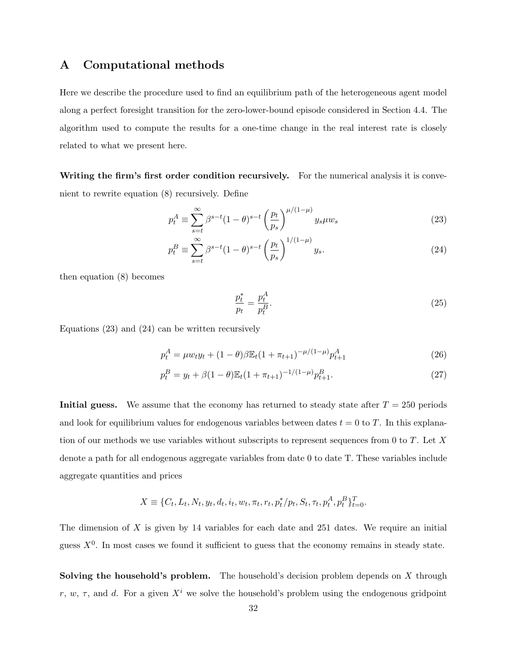### A Computational methods

Here we describe the procedure used to find an equilibrium path of the heterogeneous agent model along a perfect foresight transition for the zero-lower-bound episode considered in Section 4.4. The algorithm used to compute the results for a one-time change in the real interest rate is closely related to what we present here.

Writing the firm's first order condition recursively. For the numerical analysis it is convenient to rewrite equation (8) recursively. Define

$$
p_t^A \equiv \sum_{s=t}^{\infty} \beta^{s-t} (1-\theta)^{s-t} \left(\frac{p_t}{p_s}\right)^{\mu/(1-\mu)} y_s \mu w_s \tag{23}
$$

$$
p_t^B \equiv \sum_{s=t}^{\infty} \beta^{s-t} (1-\theta)^{s-t} \left(\frac{p_t}{p_s}\right)^{1/(1-\mu)} y_s.
$$
 (24)

then equation (8) becomes

$$
\frac{p_t^*}{p_t} = \frac{p_t^A}{p_t^B}.\tag{25}
$$

Equations (23) and (24) can be written recursively

$$
p_t^A = \mu w_t y_t + (1 - \theta) \beta \mathbb{E}_t (1 + \pi_{t+1})^{-\mu/(1-\mu)} p_{t+1}^A \tag{26}
$$

$$
p_t^B = y_t + \beta (1 - \theta) \mathbb{E}_t (1 + \pi_{t+1})^{-1/(1-\mu)} p_{t+1}^B.
$$
 (27)

Initial guess. We assume that the economy has returned to steady state after  $T = 250$  periods and look for equilibrium values for endogenous variables between dates  $t = 0$  to T. In this explanation of our methods we use variables without subscripts to represent sequences from 0 to  $T$ . Let  $X$ denote a path for all endogenous aggregate variables from date 0 to date T. These variables include aggregate quantities and prices

$$
X \equiv \{C_t, L_t, N_t, y_t, d_t, i_t, w_t, \pi_t, r_t, p_t^* / p_t, S_t, \tau_t, p_t^A, p_t^B\}_{t=0}^T.
$$

The dimension of  $X$  is given by 14 variables for each date and 251 dates. We require an initial guess  $X^0$ . In most cases we found it sufficient to guess that the economy remains in steady state.

**Solving the household's problem.** The household's decision problem depends on  $X$  through r, w,  $\tau$ , and d. For a given  $X^i$  we solve the household's problem using the endogenous gridpoint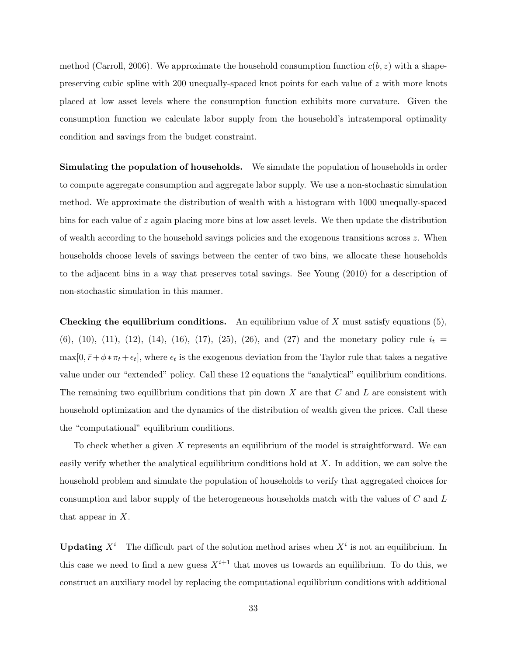method (Carroll, 2006). We approximate the household consumption function  $c(b, z)$  with a shapepreserving cubic spline with 200 unequally-spaced knot points for each value of z with more knots placed at low asset levels where the consumption function exhibits more curvature. Given the consumption function we calculate labor supply from the household's intratemporal optimality condition and savings from the budget constraint.

Simulating the population of households. We simulate the population of households in order to compute aggregate consumption and aggregate labor supply. We use a non-stochastic simulation method. We approximate the distribution of wealth with a histogram with 1000 unequally-spaced bins for each value of  $z$  again placing more bins at low asset levels. We then update the distribution of wealth according to the household savings policies and the exogenous transitions across  $z$ . When households choose levels of savings between the center of two bins, we allocate these households to the adjacent bins in a way that preserves total savings. See Young (2010) for a description of non-stochastic simulation in this manner.

**Checking the equilibrium conditions.** An equilibrium value of X must satisfy equations  $(5)$ , (6), (10), (11), (12), (14), (16), (17), (25), (26), and (27) and the monetary policy rule  $i_t =$  $\max[0, \bar{r} + \phi * \pi_t + \epsilon_t],$  where  $\epsilon_t$  is the exogenous deviation from the Taylor rule that takes a negative value under our "extended" policy. Call these 12 equations the "analytical" equilibrium conditions. The remaining two equilibrium conditions that pin down  $X$  are that  $C$  and  $L$  are consistent with household optimization and the dynamics of the distribution of wealth given the prices. Call these the "computational" equilibrium conditions.

To check whether a given X represents an equilibrium of the model is straightforward. We can easily verify whether the analytical equilibrium conditions hold at X. In addition, we can solve the household problem and simulate the population of households to verify that aggregated choices for consumption and labor supply of the heterogeneous households match with the values of C and L that appear in X.

**Updating**  $X^i$  The difficult part of the solution method arises when  $X^i$  is not an equilibrium. In this case we need to find a new guess  $X^{i+1}$  that moves us towards an equilibrium. To do this, we construct an auxiliary model by replacing the computational equilibrium conditions with additional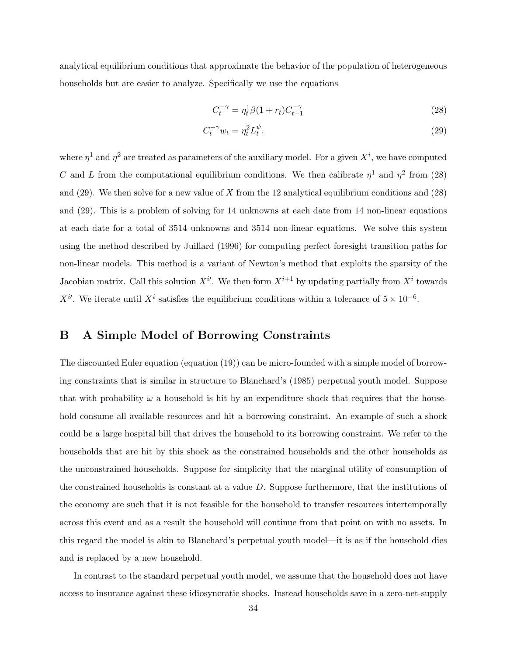analytical equilibrium conditions that approximate the behavior of the population of heterogeneous households but are easier to analyze. Specifically we use the equations

$$
C_t^{-\gamma} = \eta_t^1 \beta (1 + r_t) C_{t+1}^{-\gamma} \tag{28}
$$

$$
C_t^{-\gamma} w_t = \eta_t^2 L_t^{\psi}.\tag{29}
$$

where  $\eta^1$  and  $\eta^2$  are treated as parameters of the auxiliary model. For a given  $X^i$ , we have computed C and L from the computational equilibrium conditions. We then calibrate  $\eta^1$  and  $\eta^2$  from (28) and  $(29)$ . We then solve for a new value of X from the 12 analytical equilibrium conditions and  $(28)$ and (29). This is a problem of solving for 14 unknowns at each date from 14 non-linear equations at each date for a total of 3514 unknowns and 3514 non-linear equations. We solve this system using the method described by Juillard (1996) for computing perfect foresight transition paths for non-linear models. This method is a variant of Newton's method that exploits the sparsity of the Jacobian matrix. Call this solution  $X^{i'}$ . We then form  $X^{i+1}$  by updating partially from  $X^{i}$  towards  $X^{i}$ . We iterate until  $X^{i}$  satisfies the equilibrium conditions within a tolerance of  $5 \times 10^{-6}$ .

### B A Simple Model of Borrowing Constraints

The discounted Euler equation (equation (19)) can be micro-founded with a simple model of borrowing constraints that is similar in structure to Blanchard's (1985) perpetual youth model. Suppose that with probability  $\omega$  a household is hit by an expenditure shock that requires that the household consume all available resources and hit a borrowing constraint. An example of such a shock could be a large hospital bill that drives the household to its borrowing constraint. We refer to the households that are hit by this shock as the constrained households and the other households as the unconstrained households. Suppose for simplicity that the marginal utility of consumption of the constrained households is constant at a value D. Suppose furthermore, that the institutions of the economy are such that it is not feasible for the household to transfer resources intertemporally across this event and as a result the household will continue from that point on with no assets. In this regard the model is akin to Blanchard's perpetual youth model—it is as if the household dies and is replaced by a new household.

In contrast to the standard perpetual youth model, we assume that the household does not have access to insurance against these idiosyncratic shocks. Instead households save in a zero-net-supply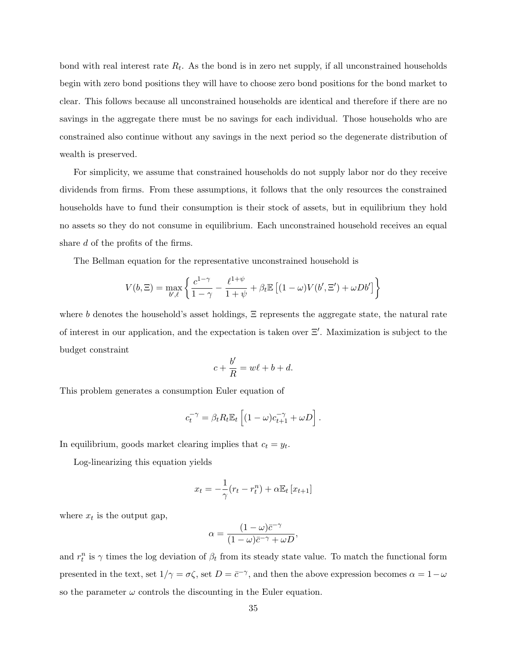bond with real interest rate  $R_t$ . As the bond is in zero net supply, if all unconstrained households begin with zero bond positions they will have to choose zero bond positions for the bond market to clear. This follows because all unconstrained households are identical and therefore if there are no savings in the aggregate there must be no savings for each individual. Those households who are constrained also continue without any savings in the next period so the degenerate distribution of wealth is preserved.

For simplicity, we assume that constrained households do not supply labor nor do they receive dividends from firms. From these assumptions, it follows that the only resources the constrained households have to fund their consumption is their stock of assets, but in equilibrium they hold no assets so they do not consume in equilibrium. Each unconstrained household receives an equal share d of the profits of the firms.

The Bellman equation for the representative unconstrained household is

$$
V(b, \Xi) = \max_{b', \ell} \left\{ \frac{c^{1-\gamma}}{1-\gamma} - \frac{\ell^{1+\psi}}{1+\psi} + \beta_t \mathbb{E} \left[ (1-\omega)V(b', \Xi') + \omega Db' \right] \right\}
$$

where b denotes the household's asset holdings,  $\Xi$  represents the aggregate state, the natural rate of interest in our application, and the expectation is taken over  $\Xi'$ . Maximization is subject to the budget constraint

$$
c + \frac{b'}{R} = w\ell + b + d.
$$

This problem generates a consumption Euler equation of

$$
c_t^{-\gamma} = \beta_t R_t \mathbb{E}_t \left[ (1 - \omega) c_{t+1}^{-\gamma} + \omega D \right].
$$

In equilibrium, goods market clearing implies that  $c_t = y_t$ .

Log-linearizing this equation yields

$$
x_t = -\frac{1}{\gamma}(r_t - r_t^n) + \alpha \mathbb{E}_t [x_{t+1}]
$$

where  $x_t$  is the output gap,

$$
\alpha = \frac{(1 - \omega)\bar{c}^{-\gamma}}{(1 - \omega)\bar{c}^{-\gamma} + \omega D},
$$

and  $r_t^n$  is  $\gamma$  times the log deviation of  $\beta_t$  from its steady state value. To match the functional form presented in the text, set  $1/\gamma = \sigma \zeta$ , set  $D = \bar{c}^{-\gamma}$ , and then the above expression becomes  $\alpha = 1 - \omega$ so the parameter  $\omega$  controls the discounting in the Euler equation.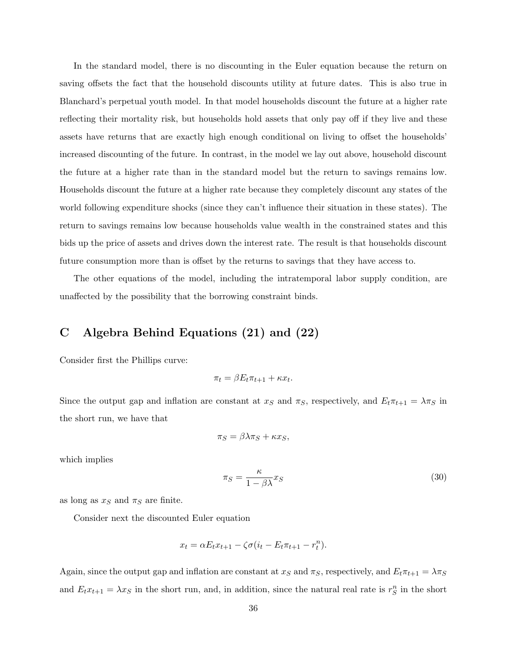In the standard model, there is no discounting in the Euler equation because the return on saving offsets the fact that the household discounts utility at future dates. This is also true in Blanchard's perpetual youth model. In that model households discount the future at a higher rate reflecting their mortality risk, but households hold assets that only pay off if they live and these assets have returns that are exactly high enough conditional on living to offset the households' increased discounting of the future. In contrast, in the model we lay out above, household discount the future at a higher rate than in the standard model but the return to savings remains low. Households discount the future at a higher rate because they completely discount any states of the world following expenditure shocks (since they can't influence their situation in these states). The return to savings remains low because households value wealth in the constrained states and this bids up the price of assets and drives down the interest rate. The result is that households discount future consumption more than is offset by the returns to savings that they have access to.

The other equations of the model, including the intratemporal labor supply condition, are unaffected by the possibility that the borrowing constraint binds.

# C Algebra Behind Equations (21) and (22)

Consider first the Phillips curve:

$$
\pi_t = \beta E_t \pi_{t+1} + \kappa x_t.
$$

Since the output gap and inflation are constant at  $x_S$  and  $\pi_S$ , respectively, and  $E_t\pi_{t+1} = \lambda \pi_S$  in the short run, we have that

$$
\pi_S = \beta \lambda \pi_S + \kappa x_S,
$$

which implies

$$
\pi_S = \frac{\kappa}{1 - \beta \lambda} x_S \tag{30}
$$

as long as  $x_S$  and  $\pi_S$  are finite.

Consider next the discounted Euler equation

$$
x_t = \alpha E_t x_{t+1} - \zeta \sigma (i_t - E_t \pi_{t+1} - r_t^n).
$$

Again, since the output gap and inflation are constant at  $x_S$  and  $\pi_S$ , respectively, and  $E_t\pi_{t+1} = \lambda \pi_S$ and  $E_t x_{t+1} = \lambda x_S$  in the short run, and, in addition, since the natural real rate is  $r_S^n$  in the short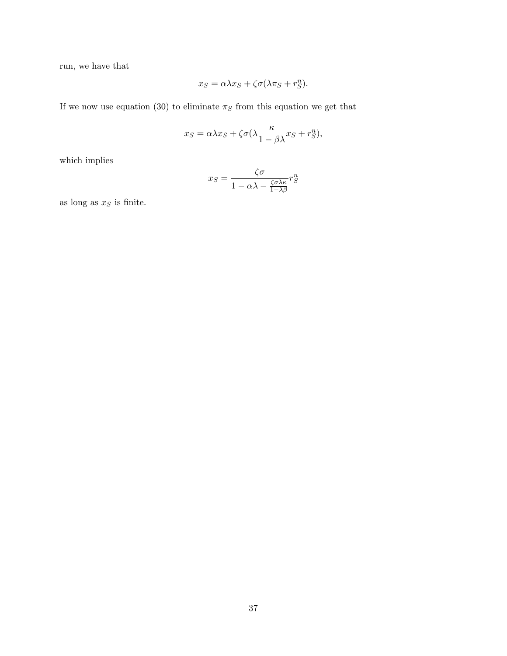run, we have that

$$
x_S = \alpha \lambda x_S + \zeta \sigma (\lambda \pi_S + r_S^n).
$$

If we now use equation (30) to eliminate  $\pi_S$  from this equation we get that

$$
x_S = \alpha \lambda x_S + \zeta \sigma (\lambda \frac{\kappa}{1 - \beta \lambda} x_S + r_S^n),
$$

which implies

$$
x_S = \frac{\zeta \sigma}{1 - \alpha \lambda - \frac{\zeta \sigma \lambda \kappa}{1 - \lambda \beta}} r_S^n
$$

as long as  $\boldsymbol{x}_S$  is finite.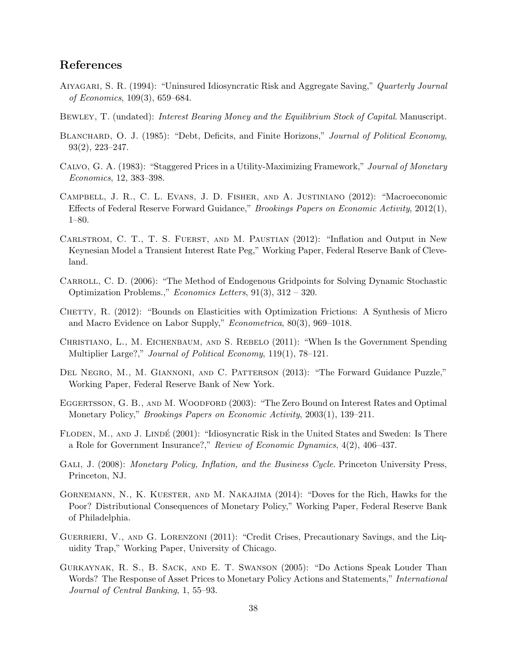# References

- Aiyagari, S. R. (1994): "Uninsured Idiosyncratic Risk and Aggregate Saving," Quarterly Journal of Economics, 109(3), 659–684.
- BEWLEY, T. (undated): *Interest Bearing Money and the Equilibrium Stock of Capital*. Manuscript.
- BLANCHARD, O. J. (1985): "Debt, Deficits, and Finite Horizons," Journal of Political Economy, 93(2), 223–247.
- Calvo, G. A. (1983): "Staggered Prices in a Utility-Maximizing Framework," Journal of Monetary Economics, 12, 383–398.
- Campbell, J. R., C. L. Evans, J. D. Fisher, and A. Justiniano (2012): "Macroeconomic Effects of Federal Reserve Forward Guidance," Brookings Papers on Economic Activity, 2012(1), 1–80.
- CARLSTROM, C. T., T. S. FUERST, AND M. PAUSTIAN (2012): "Inflation and Output in New Keynesian Model a Transient Interest Rate Peg," Working Paper, Federal Reserve Bank of Cleveland.
- Carroll, C. D. (2006): "The Method of Endogenous Gridpoints for Solving Dynamic Stochastic Optimization Problems.," Economics Letters, 91(3), 312 – 320.
- Chetty, R. (2012): "Bounds on Elasticities with Optimization Frictions: A Synthesis of Micro and Macro Evidence on Labor Supply," Econometrica, 80(3), 969–1018.
- Christiano, L., M. Eichenbaum, and S. Rebelo (2011): "When Is the Government Spending Multiplier Large?," Journal of Political Economy, 119(1), 78–121.
- Del Negro, M., M. Giannoni, and C. Patterson (2013): "The Forward Guidance Puzzle," Working Paper, Federal Reserve Bank of New York.
- EGGERTSSON, G. B., AND M. WOODFORD (2003): "The Zero Bound on Interest Rates and Optimal Monetary Policy," Brookings Papers on Economic Activity, 2003(1), 139–211.
- FLODEN, M., AND J. LINDÉ (2001): "Idiosyncratic Risk in the United States and Sweden: Is There a Role for Government Insurance?," Review of Economic Dynamics, 4(2), 406–437.
- GALI, J. (2008): Monetary Policy, Inflation, and the Business Cycle. Princeton University Press, Princeton, NJ.
- Gornemann, N., K. Kuester, and M. Nakajima (2014): "Doves for the Rich, Hawks for the Poor? Distributional Consequences of Monetary Policy," Working Paper, Federal Reserve Bank of Philadelphia.
- GUERRIERI, V., AND G. LORENZONI (2011): "Credit Crises, Precautionary Savings, and the Liquidity Trap," Working Paper, University of Chicago.
- Gurkaynak, R. S., B. Sack, and E. T. Swanson (2005): "Do Actions Speak Louder Than Words? The Response of Asset Prices to Monetary Policy Actions and Statements," *International* Journal of Central Banking, 1, 55–93.